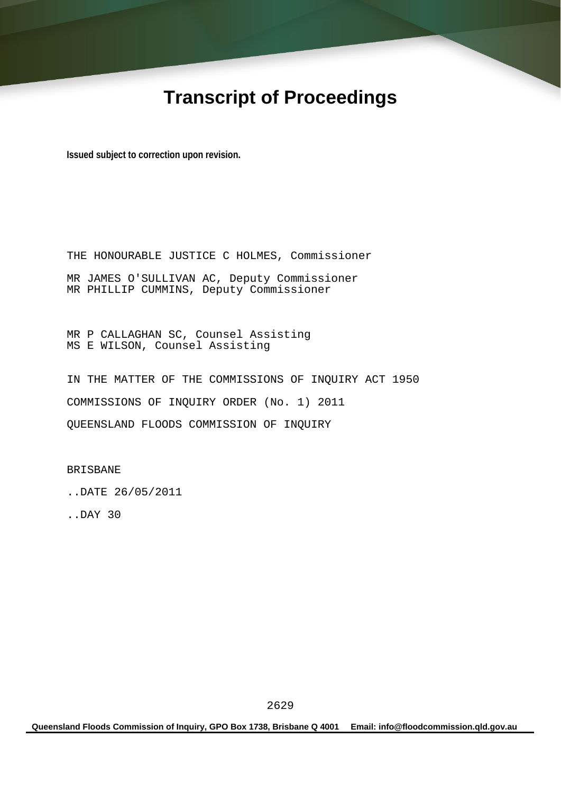# **Transcript of Proceedings**

**Issued subject to correction upon revision.** 

THE HONOURABLE JUSTICE C HOLMES, Commissioner MR JAMES O'SULLIVAN AC, Deputy Commissioner MR PHILLIP CUMMINS, Deputy Commissioner

MR P CALLAGHAN SC, Counsel Assisting MS E WILSON, Counsel Assisting

IN THE MATTER OF THE COMMISSIONS OF INQUIRY ACT 1950 COMMISSIONS OF INQUIRY ORDER (No. 1) 2011 QUEENSLAND FLOODS COMMISSION OF INQUIRY

BRISBANE

..DATE 26/05/2011

..DAY 30

**Queensland Floods Commission of Inquiry, GPO Box 1738, Brisbane Q 4001 Email: info@floodcommission.qld.gov.au**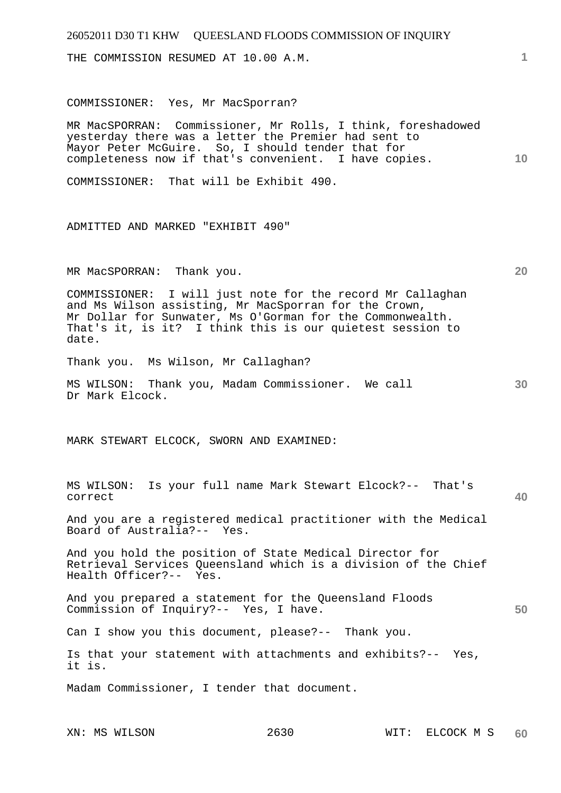| 26052011 D30 T1 KHW QUEESLAND FLOODS COMMISSION OF INQUIRY                                                                                                                                                                                             |    |
|--------------------------------------------------------------------------------------------------------------------------------------------------------------------------------------------------------------------------------------------------------|----|
| THE COMMISSION RESUMED AT 10.00 A.M.                                                                                                                                                                                                                   | 1. |
| COMMISSIONER: Yes, Mr MacSporran?                                                                                                                                                                                                                      |    |
| MR MacSPORRAN: Commissioner, Mr Rolls, I think, foreshadowed<br>yesterday there was a letter the Premier had sent to<br>Mayor Peter McGuire. So, I should tender that for<br>completeness now if that's convenient. I have copies.                     | 10 |
| COMMISSIONER: That will be Exhibit 490.                                                                                                                                                                                                                |    |
| ADMITTED AND MARKED "EXHIBIT 490"                                                                                                                                                                                                                      |    |
| MR MacSPORRAN: Thank you.                                                                                                                                                                                                                              | 20 |
| COMMISSIONER: I will just note for the record Mr Callaghan<br>and Ms Wilson assisting, Mr MacSporran for the Crown,<br>Mr Dollar for Sunwater, Ms O'Gorman for the Commonwealth.<br>That's it, is it? I think this is our quietest session to<br>date. |    |
| Thank you. Ms Wilson, Mr Callaghan?                                                                                                                                                                                                                    |    |
| MS WILSON: Thank you, Madam Commissioner. We call<br>Dr Mark Elcock.                                                                                                                                                                                   | 30 |
| MARK STEWART ELCOCK, SWORN AND EXAMINED:                                                                                                                                                                                                               |    |
| MS WILSON: Is your full name Mark Stewart Elcock?-- That's<br>correct                                                                                                                                                                                  | 40 |
| And you are a registered medical practitioner with the Medical<br>Board of Australia?-- Yes.                                                                                                                                                           |    |
| And you hold the position of State Medical Director for<br>Retrieval Services Queensland which is a division of the Chief<br>Health Officer?-- Yes.                                                                                                    |    |
| And you prepared a statement for the Queensland Floods<br>Commission of Inquiry?-- Yes, I have.                                                                                                                                                        | 50 |
| Can I show you this document, please?-- Thank you.                                                                                                                                                                                                     |    |
| Is that your statement with attachments and exhibits?-- Yes,<br>it is.                                                                                                                                                                                 |    |
| Madam Commissioner, I tender that document.                                                                                                                                                                                                            |    |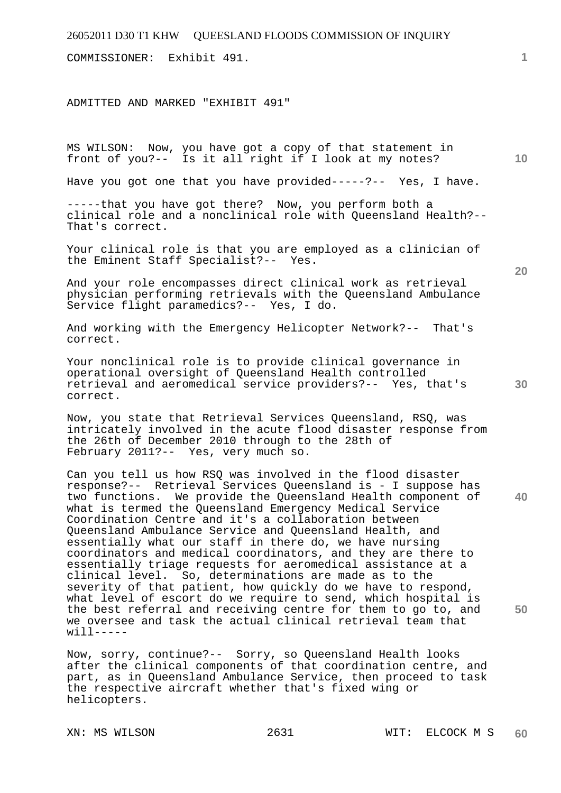COMMISSIONER: Exhibit 491.

ADMITTED AND MARKED "EXHIBIT 491"

MS WILSON: Now, you have got a copy of that statement in front of you?-- Is it all right if I look at my notes?

Have you got one that you have provided-----?-- Yes, I have.

-----that you have got there? Now, you perform both a clinical role and a nonclinical role with Queensland Health?-- That's correct.

Your clinical role is that you are employed as a clinician of the Eminent Staff Specialist?-- Yes.

And your role encompasses direct clinical work as retrieval physician performing retrievals with the Queensland Ambulance Service flight paramedics?-- Yes, I do.

And working with the Emergency Helicopter Network?-- That's correct.

Your nonclinical role is to provide clinical governance in operational oversight of Queensland Health controlled retrieval and aeromedical service providers?-- Yes, that's correct.

Now, you state that Retrieval Services Queensland, RSQ, was intricately involved in the acute flood disaster response from the 26th of December 2010 through to the 28th of February 2011?-- Yes, very much so.

**40**  Can you tell us how RSQ was involved in the flood disaster response?-- Retrieval Services Queensland is - I suppose has two functions. We provide the Queensland Health component of what is termed the Queensland Emergency Medical Service Coordination Centre and it's a collaboration between Queensland Ambulance Service and Queensland Health, and essentially what our staff in there do, we have nursing coordinators and medical coordinators, and they are there to essentially triage requests for aeromedical assistance at a clinical level. So, determinations are made as to the severity of that patient, how quickly do we have to respond, what level of escort do we require to send, which hospital is the best referral and receiving centre for them to go to, and we oversee and task the actual clinical retrieval team that  $will$  -----

Now, sorry, continue?-- Sorry, so Queensland Health looks after the clinical components of that coordination centre, and part, as in Queensland Ambulance Service, then proceed to task the respective aircraft whether that's fixed wing or helicopters.

**20** 

**10** 

**50**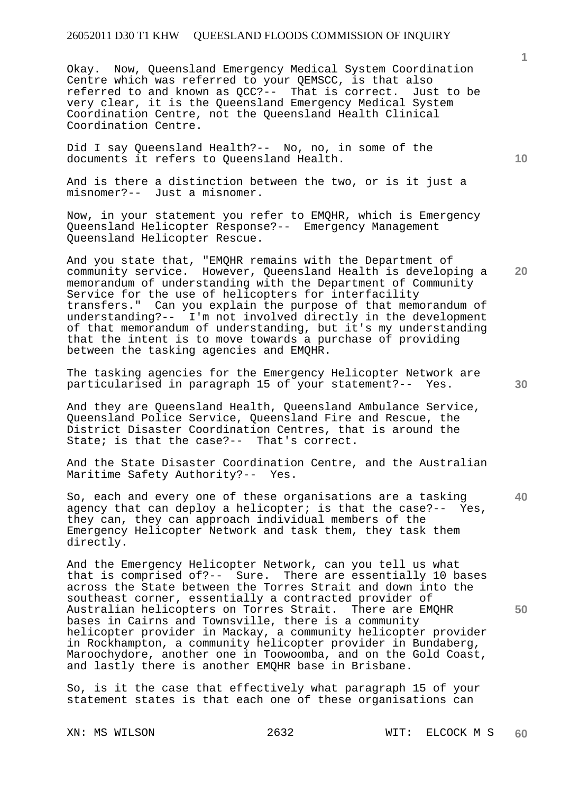Okay. Now, Queensland Emergency Medical System Coordination Centre which was referred to your QEMSCC, is that also referred to and known as QCC?-- That is correct. Just to be very clear, it is the Queensland Emergency Medical System Coordination Centre, not the Queensland Health Clinical Coordination Centre.

Did I say Queensland Health?-- No, no, in some of the documents it refers to Queensland Health.

And is there a distinction between the two, or is it just a misnomer?-- Just a misnomer.

Now, in your statement you refer to EMQHR, which is Emergency Queensland Helicopter Response?-- Emergency Management Queensland Helicopter Rescue.

And you state that, "EMQHR remains with the Department of community service. However, Queensland Health is developing a memorandum of understanding with the Department of Community Service for the use of helicopters for interfacility transfers." Can you explain the purpose of that memorandum of understanding?-- I'm not involved directly in the development of that memorandum of understanding, but it's my understanding that the intent is to move towards a purchase of providing between the tasking agencies and EMQHR.

The tasking agencies for the Emergency Helicopter Network are particularised in paragraph 15 of your statement?-- Yes.

And they are Queensland Health, Queensland Ambulance Service, Queensland Police Service, Queensland Fire and Rescue, the District Disaster Coordination Centres, that is around the State; is that the case?-- That's correct.

And the State Disaster Coordination Centre, and the Australian Maritime Safety Authority?-- Yes.

**40**  So, each and every one of these organisations are a tasking agency that can deploy a helicopter; is that the case?-- Yes, they can, they can approach individual members of the Emergency Helicopter Network and task them, they task them directly.

And the Emergency Helicopter Network, can you tell us what that is comprised of?-- Sure. There are essentially 10 bases across the State between the Torres Strait and down into the southeast corner, essentially a contracted provider of Australian helicopters on Torres Strait. There are EMQHR bases in Cairns and Townsville, there is a community helicopter provider in Mackay, a community helicopter provider in Rockhampton, a community helicopter provider in Bundaberg, Maroochydore, another one in Toowoomba, and on the Gold Coast, and lastly there is another EMQHR base in Brisbane.

So, is it the case that effectively what paragraph 15 of your statement states is that each one of these organisations can

**1**

**10** 

**30** 

**50**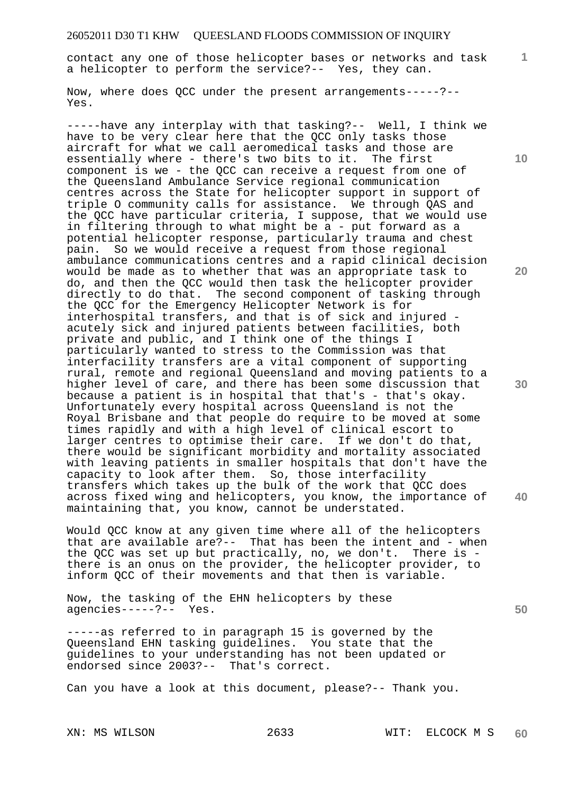contact any one of those helicopter bases or networks and task a helicopter to perform the service?-- Yes, they can.

Now, where does QCC under the present arrangements-----?-- Yes.

-----have any interplay with that tasking?-- Well, I think we have to be very clear here that the QCC only tasks those aircraft for what we call aeromedical tasks and those are essentially where - there's two bits to it. The first component is we - the QCC can receive a request from one of the Queensland Ambulance Service regional communication centres across the State for helicopter support in support of triple O community calls for assistance. We through QAS and the QCC have particular criteria, I suppose, that we would use in filtering through to what might be a - put forward as a potential helicopter response, particularly trauma and chest pain. So we would receive a request from those regional ambulance communications centres and a rapid clinical decision would be made as to whether that was an appropriate task to do, and then the QCC would then task the helicopter provider directly to do that. The second component of tasking through the QCC for the Emergency Helicopter Network is for interhospital transfers, and that is of sick and injured acutely sick and injured patients between facilities, both private and public, and I think one of the things I particularly wanted to stress to the Commission was that interfacility transfers are a vital component of supporting rural, remote and regional Queensland and moving patients to a higher level of care, and there has been some discussion that because a patient is in hospital that that's - that's okay. Unfortunately every hospital across Queensland is not the Royal Brisbane and that people do require to be moved at some times rapidly and with a high level of clinical escort to larger centres to optimise their care. If we don't do that, there would be significant morbidity and mortality associated with leaving patients in smaller hospitals that don't have the capacity to look after them. So, those interfacility transfers which takes up the bulk of the work that QCC does across fixed wing and helicopters, you know, the importance of maintaining that, you know, cannot be understated.

Would QCC know at any given time where all of the helicopters that are available are?-- That has been the intent and - when the QCC was set up but practically, no, we don't. There is there is an onus on the provider, the helicopter provider, to inform QCC of their movements and that then is variable.

Now, the tasking of the EHN helicopters by these agencies-----?-- Yes.

-----as referred to in paragraph 15 is governed by the Queensland EHN tasking guidelines. You state that the guidelines to your understanding has not been updated or endorsed since 2003?-- That's correct.

Can you have a look at this document, please?-- Thank you.

**10** 

**1**

**20** 

**30** 

**40**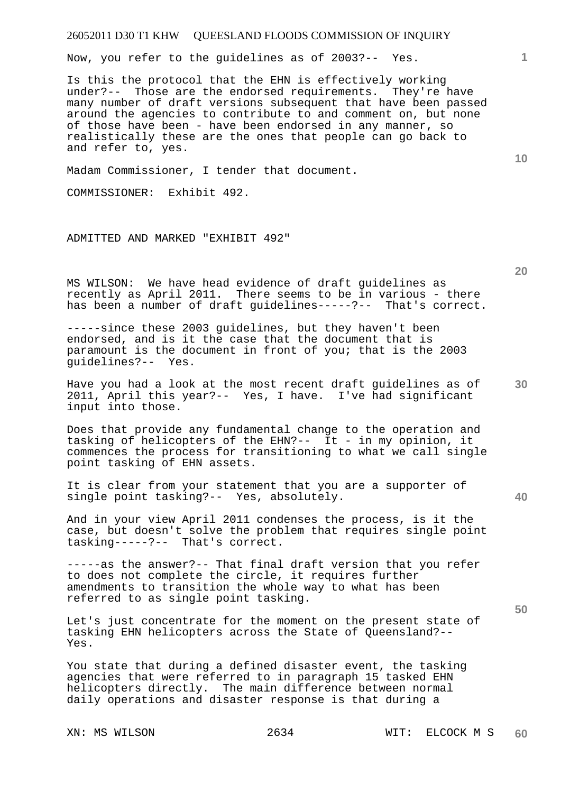Now, you refer to the guidelines as of 2003?-- Yes.

Is this the protocol that the EHN is effectively working under?-- Those are the endorsed requirements. They're have many number of draft versions subsequent that have been passed around the agencies to contribute to and comment on, but none of those have been - have been endorsed in any manner, so realistically these are the ones that people can go back to and refer to, yes.

Madam Commissioner, I tender that document.

COMMISSIONER: Exhibit 492.

ADMITTED AND MARKED "EXHIBIT 492"

MS WILSON: We have head evidence of draft guidelines as recently as April 2011. There seems to be in various - there has been a number of draft guidelines-----?-- That's correct.

-----since these 2003 guidelines, but they haven't been endorsed, and is it the case that the document that is paramount is the document in front of you; that is the 2003 guidelines?-- Yes.

**30**  Have you had a look at the most recent draft guidelines as of 2011, April this year?-- Yes, I have. I've had significant input into those.

Does that provide any fundamental change to the operation and tasking of helicopters of the EHN?-- It - in my opinion, it commences the process for transitioning to what we call single point tasking of EHN assets.

It is clear from your statement that you are a supporter of single point tasking?-- Yes, absolutely.

And in your view April 2011 condenses the process, is it the case, but doesn't solve the problem that requires single point tasking-----?-- That's correct.

-----as the answer?-- That final draft version that you refer to does not complete the circle, it requires further amendments to transition the whole way to what has been referred to as single point tasking.

Let's just concentrate for the moment on the present state of tasking EHN helicopters across the State of Queensland?-- Yes.

You state that during a defined disaster event, the tasking agencies that were referred to in paragraph 15 tasked EHN helicopters directly. The main difference between normal daily operations and disaster response is that during a

**20** 

**10** 

**40** 

**50**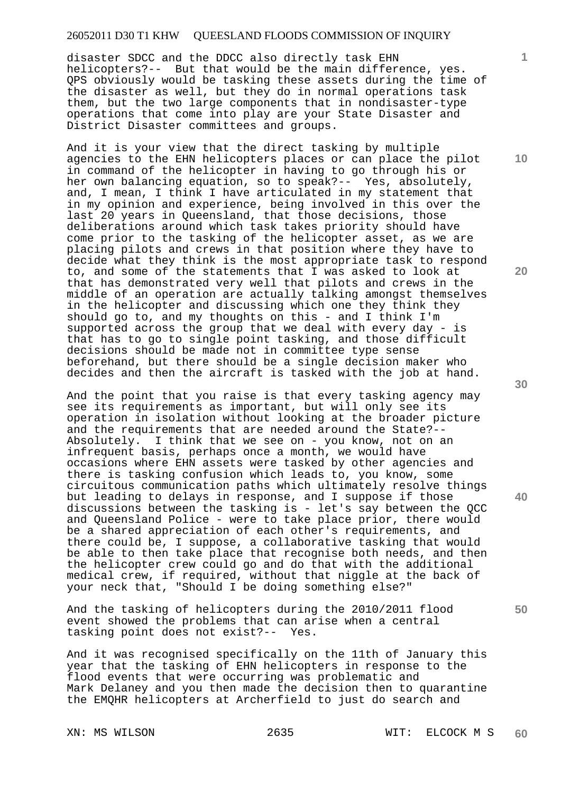disaster SDCC and the DDCC also directly task EHN helicopters?-- But that would be the main difference, yes. QPS obviously would be tasking these assets during the time of the disaster as well, but they do in normal operations task them, but the two large components that in nondisaster-type operations that come into play are your State Disaster and District Disaster committees and groups.

And it is your view that the direct tasking by multiple agencies to the EHN helicopters places or can place the pilot in command of the helicopter in having to go through his or her own balancing equation, so to speak?-- Yes, absolutely, and, I mean, I think I have articulated in my statement that in my opinion and experience, being involved in this over the last 20 years in Queensland, that those decisions, those deliberations around which task takes priority should have come prior to the tasking of the helicopter asset, as we are placing pilots and crews in that position where they have to decide what they think is the most appropriate task to respond to, and some of the statements that I was asked to look at that has demonstrated very well that pilots and crews in the middle of an operation are actually talking amongst themselves in the helicopter and discussing which one they think they should go to, and my thoughts on this - and I think I'm supported across the group that we deal with every day - is that has to go to single point tasking, and those difficult decisions should be made not in committee type sense beforehand, but there should be a single decision maker who decides and then the aircraft is tasked with the job at hand.

And the point that you raise is that every tasking agency may see its requirements as important, but will only see its operation in isolation without looking at the broader picture and the requirements that are needed around the State?-- Absolutely. I think that we see on - you know, not on an infrequent basis, perhaps once a month, we would have occasions where EHN assets were tasked by other agencies and there is tasking confusion which leads to, you know, some circuitous communication paths which ultimately resolve things but leading to delays in response, and I suppose if those discussions between the tasking is - let's say between the QCC and Queensland Police - were to take place prior, there would be a shared appreciation of each other's requirements, and there could be, I suppose, a collaborative tasking that would be able to then take place that recognise both needs, and then the helicopter crew could go and do that with the additional medical crew, if required, without that niggle at the back of your neck that, "Should I be doing something else?"

And the tasking of helicopters during the 2010/2011 flood event showed the problems that can arise when a central tasking point does not exist?-- Yes.

And it was recognised specifically on the 11th of January this year that the tasking of EHN helicopters in response to the flood events that were occurring was problematic and Mark Delaney and you then made the decision then to quarantine the EMQHR helicopters at Archerfield to just do search and

**10** 

**1**

**20** 

**30** 

**50**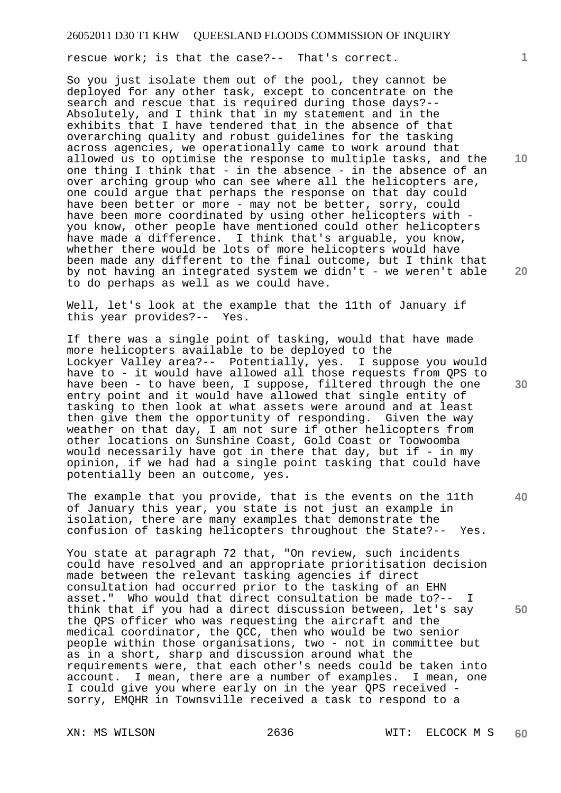rescue work; is that the case?-- That's correct.

So you just isolate them out of the pool, they cannot be deployed for any other task, except to concentrate on the search and rescue that is required during those days?-- Absolutely, and I think that in my statement and in the exhibits that I have tendered that in the absence of that overarching quality and robust guidelines for the tasking across agencies, we operationally came to work around that allowed us to optimise the response to multiple tasks, and the one thing I think that - in the absence - in the absence of an over arching group who can see where all the helicopters are, one could argue that perhaps the response on that day could have been better or more - may not be better, sorry, could have been more coordinated by using other helicopters with you know, other people have mentioned could other helicopters have made a difference. I think that's arguable, you know, whether there would be lots of more helicopters would have been made any different to the final outcome, but I think that by not having an integrated system we didn't - we weren't able to do perhaps as well as we could have.

Well, let's look at the example that the 11th of January if<br>this year provides?-- Yes. this year provides?--

If there was a single point of tasking, would that have made more helicopters available to be deployed to the Lockyer Valley area?-- Potentially, yes. I suppose you would have to - it would have allowed all those requests from QPS to have been - to have been, I suppose, filtered through the one entry point and it would have allowed that single entity of tasking to then look at what assets were around and at least then give them the opportunity of responding. Given the way weather on that day, I am not sure if other helicopters from other locations on Sunshine Coast, Gold Coast or Toowoomba would necessarily have got in there that day, but if - in my opinion, if we had had a single point tasking that could have potentially been an outcome, yes.

The example that you provide, that is the events on the 11th of January this year, you state is not just an example in isolation, there are many examples that demonstrate the confusion of tasking helicopters throughout the State?-- Yes.

You state at paragraph 72 that, "On review, such incidents could have resolved and an appropriate prioritisation decision made between the relevant tasking agencies if direct consultation had occurred prior to the tasking of an EHN asset." Who would that direct consultation be made to?-- I think that if you had a direct discussion between, let's say the QPS officer who was requesting the aircraft and the medical coordinator, the QCC, then who would be two senior people within those organisations, two - not in committee but as in a short, sharp and discussion around what the requirements were, that each other's needs could be taken into account. I mean, there are a number of examples. I mean, one I could give you where early on in the year QPS received sorry, EMQHR in Townsville received a task to respond to a

**10** 

**20** 

**30** 

**40**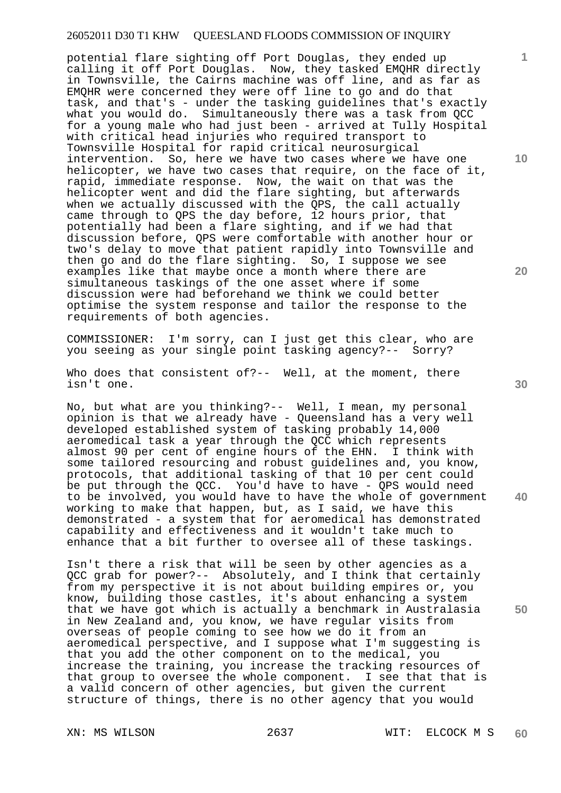potential flare sighting off Port Douglas, they ended up calling it off Port Douglas. Now, they tasked EMQHR directly in Townsville, the Cairns machine was off line, and as far as EMQHR were concerned they were off line to go and do that task, and that's - under the tasking guidelines that's exactly what you would do. Simultaneously there was a task from QCC for a young male who had just been - arrived at Tully Hospital with critical head injuries who required transport to Townsville Hospital for rapid critical neurosurgical intervention. So, here we have two cases where we have one helicopter, we have two cases that require, on the face of it, rapid, immediate response. Now, the wait on that was the helicopter went and did the flare sighting, but afterwards when we actually discussed with the QPS, the call actually came through to QPS the day before, 12 hours prior, that potentially had been a flare sighting, and if we had that discussion before, QPS were comfortable with another hour or two's delay to move that patient rapidly into Townsville and then go and do the flare sighting. So, I suppose we see examples like that maybe once a month where there are simultaneous taskings of the one asset where if some discussion were had beforehand we think we could better optimise the system response and tailor the response to the requirements of both agencies.

COMMISSIONER: I'm sorry, can I just get this clear, who are you seeing as your single point tasking agency?-- Sorry?

Who does that consistent of?-- Well, at the moment, there isn't one.

No, but what are you thinking?-- Well, I mean, my personal opinion is that we already have - Queensland has a very well developed established system of tasking probably 14,000 aeromedical task a year through the QCC which represents almost 90 per cent of engine hours of the EHN. I think with some tailored resourcing and robust guidelines and, you know, protocols, that additional tasking of that 10 per cent could be put through the QCC. You'd have to have - QPS would need to be involved, you would have to have the whole of government working to make that happen, but, as I said, we have this demonstrated - a system that for aeromedical has demonstrated capability and effectiveness and it wouldn't take much to enhance that a bit further to oversee all of these taskings.

Isn't there a risk that will be seen by other agencies as a QCC grab for power?-- Absolutely, and I think that certainly from my perspective it is not about building empires or, you know, building those castles, it's about enhancing a system that we have got which is actually a benchmark in Australasia in New Zealand and, you know, we have regular visits from overseas of people coming to see how we do it from an aeromedical perspective, and I suppose what I'm suggesting is that you add the other component on to the medical, you increase the training, you increase the tracking resources of that group to oversee the whole component. I see that that is a valid concern of other agencies, but given the current structure of things, there is no other agency that you would

**10** 

**1**

**20** 

**40**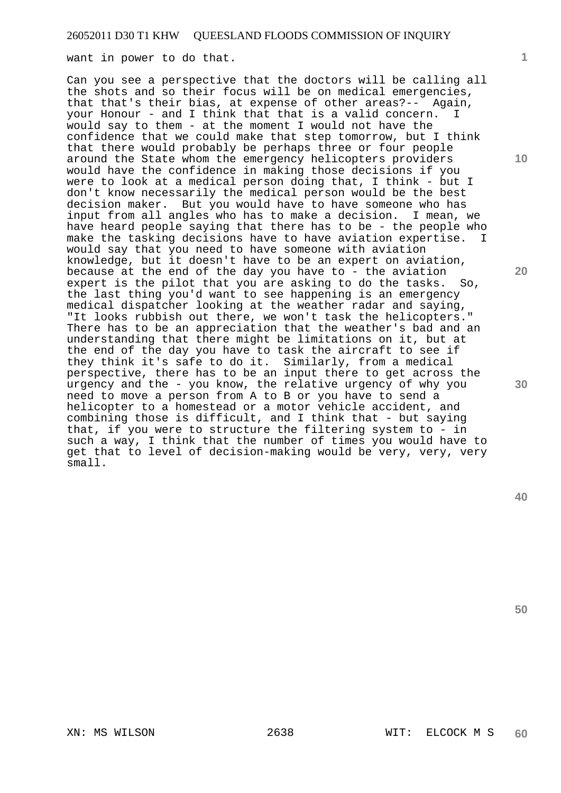want in power to do that.

Can you see a perspective that the doctors will be calling all the shots and so their focus will be on medical emergencies, that that's their bias, at expense of other areas?-- Again, your Honour - and I think that that is a valid concern. I would say to them - at the moment I would not have the confidence that we could make that step tomorrow, but I think that there would probably be perhaps three or four people around the State whom the emergency helicopters providers would have the confidence in making those decisions if you were to look at a medical person doing that, I think - but I don't know necessarily the medical person would be the best decision maker. But you would have to have someone who has input from all angles who has to make a decision. I mean, we have heard people saying that there has to be - the people who make the tasking decisions have to have aviation expertise. I would say that you need to have someone with aviation knowledge, but it doesn't have to be an expert on aviation, because at the end of the day you have to - the aviation<br>expert is the pilot that you are asking to do the tasks. So, expert is the pilot that you are asking to do the tasks. the last thing you'd want to see happening is an emergency medical dispatcher looking at the weather radar and saying, "It looks rubbish out there, we won't task the helicopters." There has to be an appreciation that the weather's bad and an understanding that there might be limitations on it, but at the end of the day you have to task the aircraft to see if they think it's safe to do it. Similarly, from a medical perspective, there has to be an input there to get across the urgency and the - you know, the relative urgency of why you need to move a person from A to B or you have to send a helicopter to a homestead or a motor vehicle accident, and combining those is difficult, and I think that - but saying that, if you were to structure the filtering system to - in such a way, I think that the number of times you would have to get that to level of decision-making would be very, very, very small.

**50** 

**30** 

XN: MS WILSON 2638 WIT: ELCOCK M S

**1**

**10**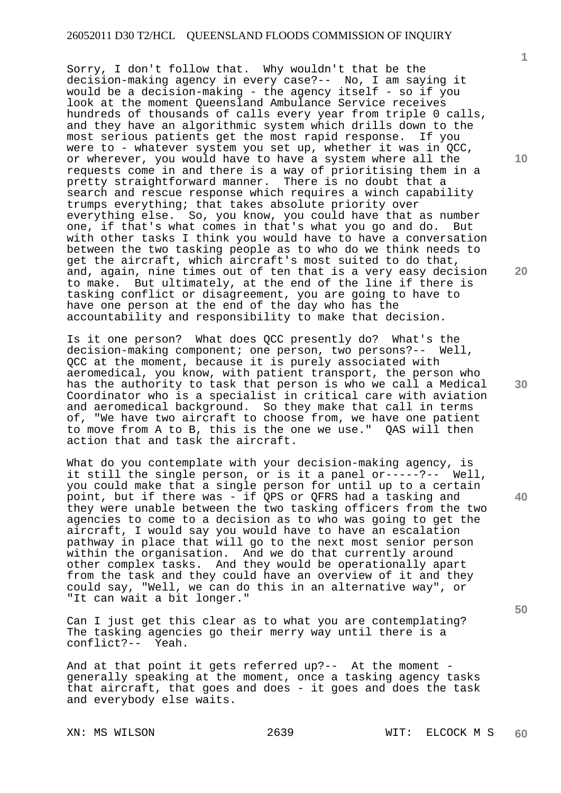Sorry, I don't follow that. Why wouldn't that be the decision-making agency in every case?-- No, I am saying it would be a decision-making - the agency itself - so if you look at the moment Queensland Ambulance Service receives hundreds of thousands of calls every year from triple 0 calls, and they have an algorithmic system which drills down to the most serious patients get the most rapid response. If you were to - whatever system you set up, whether it was in QCC, or wherever, you would have to have a system where all the requests come in and there is a way of prioritising them in a pretty straightforward manner. There is no doubt that a search and rescue response which requires a winch capability trumps everything; that takes absolute priority over everything else. So, you know, you could have that as number one, if that's what comes in that's what you go and do. But with other tasks I think you would have to have a conversation between the two tasking people as to who do we think needs to get the aircraft, which aircraft's most suited to do that, and, again, nine times out of ten that is a very easy decision to make. But ultimately, at the end of the line if there is tasking conflict or disagreement, you are going to have to have one person at the end of the day who has the accountability and responsibility to make that decision.

Is it one person? What does QCC presently do? What's the decision-making component; one person, two persons?-- Well, QCC at the moment, because it is purely associated with aeromedical, you know, with patient transport, the person who has the authority to task that person is who we call a Medical Coordinator who is a specialist in critical care with aviation and aeromedical background. So they make that call in terms of, "We have two aircraft to choose from, we have one patient to move from A to B, this is the one we use." QAS will then action that and task the aircraft.

What do you contemplate with your decision-making agency, is it still the single person, or is it a panel or-----?-- Well, you could make that a single person for until up to a certain point, but if there was - if QPS or QFRS had a tasking and they were unable between the two tasking officers from the two agencies to come to a decision as to who was going to get the aircraft, I would say you would have to have an escalation pathway in place that will go to the next most senior person within the organisation. And we do that currently around other complex tasks. And they would be operationally apart from the task and they could have an overview of it and they could say, "Well, we can do this in an alternative way", or "It can wait a bit longer."

Can I just get this clear as to what you are contemplating? The tasking agencies go their merry way until there is a conflict?-- Yeah.

And at that point it gets referred up?-- At the moment generally speaking at the moment, once a tasking agency tasks that aircraft, that goes and does - it goes and does the task and everybody else waits.

**10** 

**1**

**20** 

**30** 

**50**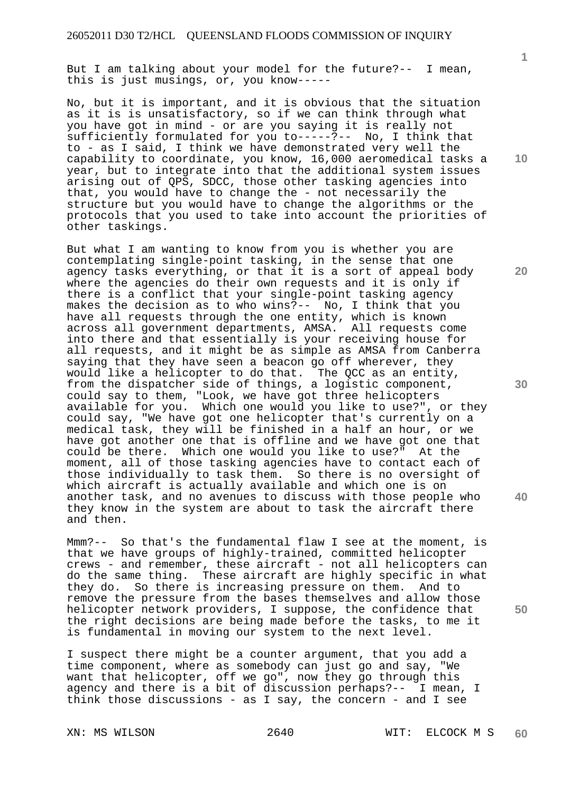But I am talking about your model for the future?-- I mean, this is just musings, or, you know-----

No, but it is important, and it is obvious that the situation as it is is unsatisfactory, so if we can think through what you have got in mind - or are you saying it is really not sufficiently formulated for you to-----?-- No, I think that to - as I said, I think we have demonstrated very well the capability to coordinate, you know, 16,000 aeromedical tasks a year, but to integrate into that the additional system issues arising out of QPS, SDCC, those other tasking agencies into that, you would have to change the - not necessarily the structure but you would have to change the algorithms or the protocols that you used to take into account the priorities of other taskings.

But what I am wanting to know from you is whether you are contemplating single-point tasking, in the sense that one agency tasks everything, or that it is a sort of appeal body where the agencies do their own requests and it is only if there is a conflict that your single-point tasking agency makes the decision as to who wins?-- No, I think that you have all requests through the one entity, which is known across all government departments, AMSA. All requests come into there and that essentially is your receiving house for all requests, and it might be as simple as AMSA from Canberra saying that they have seen a beacon go off wherever, they would like a helicopter to do that. The QCC as an entity, from the dispatcher side of things, a logistic component, could say to them, "Look, we have got three helicopters available for you. Which one would you like to use?", or they could say, "We have got one helicopter that's currently on a medical task, they will be finished in a half an hour, or we have got another one that is offline and we have got one that could be there. Which one would you like to use?" At the moment, all of those tasking agencies have to contact each of those individually to task them. So there is no oversight of which aircraft is actually available and which one is on another task, and no avenues to discuss with those people who they know in the system are about to task the aircraft there and then.

Mmm?-- So that's the fundamental flaw I see at the moment, is that we have groups of highly-trained, committed helicopter crews - and remember, these aircraft - not all helicopters can do the same thing. These aircraft are highly specific in what they do. So there is increasing pressure on them. And to remove the pressure from the bases themselves and allow those helicopter network providers, I suppose, the confidence that the right decisions are being made before the tasks, to me it is fundamental in moving our system to the next level.

I suspect there might be a counter argument, that you add a time component, where as somebody can just go and say, "We want that helicopter, off we go", now they go through this agency and there is a bit of discussion perhaps?-- I mean, I think those discussions - as I say, the concern - and I see

**10** 

**1**

**20** 

**30** 

**40**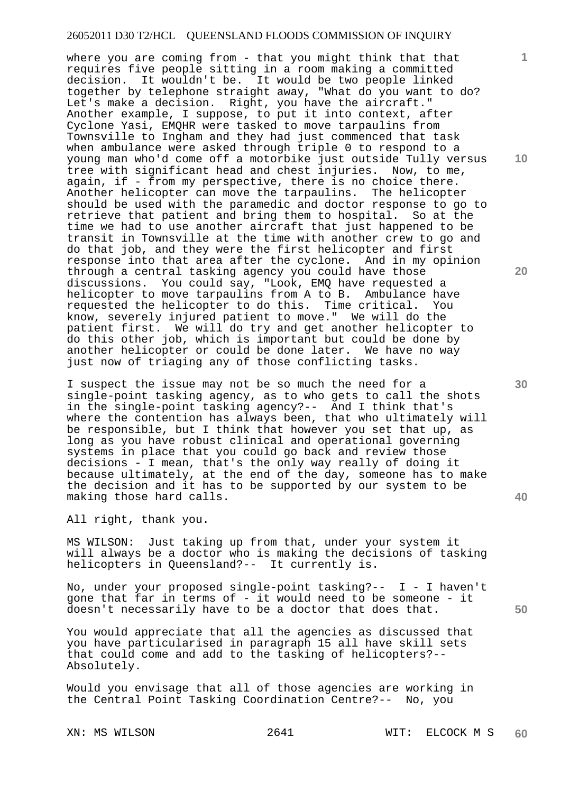where you are coming from - that you might think that that requires five people sitting in a room making a committed decision. It wouldn't be. It would be two people linked together by telephone straight away, "What do you want to do? Let's make a decision. Right, you have the aircraft." Another example, I suppose, to put it into context, after Cyclone Yasi, EMQHR were tasked to move tarpaulins from Townsville to Ingham and they had just commenced that task when ambulance were asked through triple 0 to respond to a young man who'd come off a motorbike just outside Tully versus tree with significant head and chest injuries. Now, to me, again, if - from my perspective, there is no choice there. Another helicopter can move the tarpaulins. The helicopter should be used with the paramedic and doctor response to go to retrieve that patient and bring them to hospital. So at the time we had to use another aircraft that just happened to be transit in Townsville at the time with another crew to go and do that job, and they were the first helicopter and first response into that area after the cyclone. And in my opinion through a central tasking agency you could have those discussions. You could say, "Look, EMQ have requested a helicopter to move tarpaulins from A to B. Ambulance have requested the helicopter to do this. Time critical. You know, severely injured patient to move." We will do the patient first. We will do try and get another helicopter to do this other job, which is important but could be done by another helicopter or could be done later. We have no way just now of triaging any of those conflicting tasks.

I suspect the issue may not be so much the need for a single-point tasking agency, as to who gets to call the shots in the single-point tasking agency?-- And I think that's where the contention has always been, that who ultimately will be responsible, but I think that however you set that up, as long as you have robust clinical and operational governing systems in place that you could go back and review those decisions - I mean, that's the only way really of doing it because ultimately, at the end of the day, someone has to make the decision and it has to be supported by our system to be making those hard calls.

All right, thank you.

MS WILSON: Just taking up from that, under your system it will always be a doctor who is making the decisions of tasking helicopters in Queensland?-- It currently is.

No, under your proposed single-point tasking?-- I - I haven't gone that far in terms of - it would need to be someone - it doesn't necessarily have to be a doctor that does that.

You would appreciate that all the agencies as discussed that you have particularised in paragraph 15 all have skill sets that could come and add to the tasking of helicopters?-- Absolutely.

Would you envisage that all of those agencies are working in the Central Point Tasking Coordination Centre?-- No, you

**10** 

**1**

**20** 

**30** 

**40**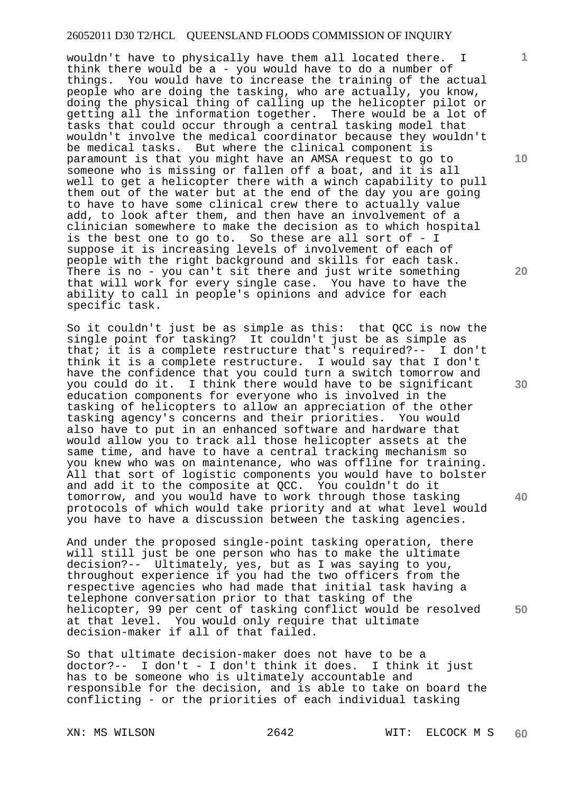wouldn't have to physically have them all located there. I think there would be a - you would have to do a number of things. You would have to increase the training of the actual people who are doing the tasking, who are actually, you know, doing the physical thing of calling up the helicopter pilot or getting all the information together. There would be a lot of tasks that could occur through a central tasking model that wouldn't involve the medical coordinator because they wouldn't be medical tasks. But where the clinical component is paramount is that you might have an AMSA request to go to someone who is missing or fallen off a boat, and it is all well to get a helicopter there with a winch capability to pull them out of the water but at the end of the day you are going to have to have some clinical crew there to actually value add, to look after them, and then have an involvement of a clinician somewhere to make the decision as to which hospital is the best one to go to. So these are all sort of - I suppose it is increasing levels of involvement of each of people with the right background and skills for each task. There is no - you can't sit there and just write something that will work for every single case. You have to have the ability to call in people's opinions and advice for each specific task.

So it couldn't just be as simple as this: that QCC is now the single point for tasking? It couldn't just be as simple as that; it is a complete restructure that's required?-- I don't think it is a complete restructure. I would say that I don't have the confidence that you could turn a switch tomorrow and you could do it. I think there would have to be significant education components for everyone who is involved in the tasking of helicopters to allow an appreciation of the other tasking agency's concerns and their priorities. You would also have to put in an enhanced software and hardware that would allow you to track all those helicopter assets at the same time, and have to have a central tracking mechanism so you knew who was on maintenance, who was offline for training. All that sort of logistic components you would have to bolster and add it to the composite at QCC. You couldn't do it tomorrow, and you would have to work through those tasking protocols of which would take priority and at what level would you have to have a discussion between the tasking agencies.

And under the proposed single-point tasking operation, there will still just be one person who has to make the ultimate decision?-- Ultimately, yes, but as I was saying to you, throughout experience if you had the two officers from the respective agencies who had made that initial task having a telephone conversation prior to that tasking of the helicopter, 99 per cent of tasking conflict would be resolved at that level. You would only require that ultimate decision-maker if all of that failed.

So that ultimate decision-maker does not have to be a doctor?-- I don't - I don't think it does. I think it just has to be someone who is ultimately accountable and responsible for the decision, and is able to take on board the conflicting - or the priorities of each individual tasking

**10** 

**1**

**20** 

**30** 

**40**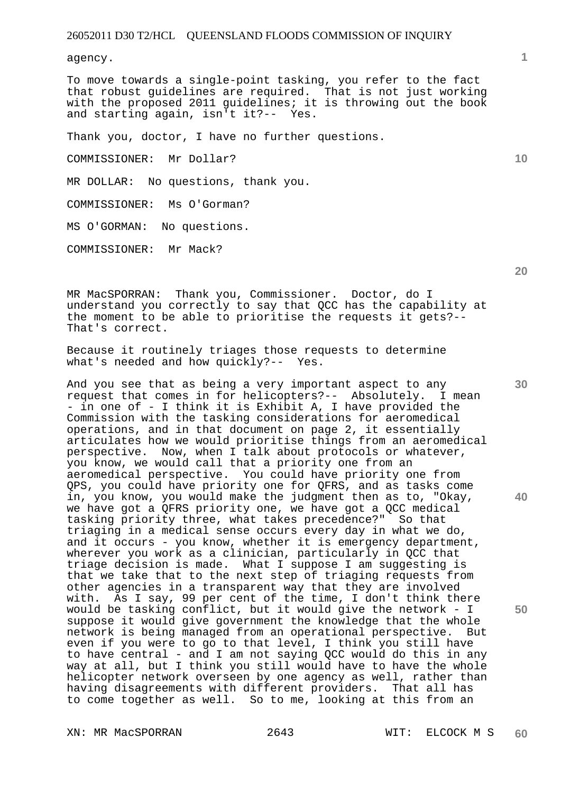agency.

To move towards a single-point tasking, you refer to the fact that robust guidelines are required. That is not just working with the proposed 2011 guidelines; it is throwing out the book and starting again, isn't it?-- Yes. and starting again, isn't it? $-$ -

Thank you, doctor, I have no further questions.

COMMISSIONER: Mr Dollar?

MR DOLLAR: No questions, thank you.

COMMISSIONER: Ms O'Gorman?

MS O'GORMAN: No questions.

COMMISSIONER: Mr Mack?

**20** 

**30** 

**40** 

**50** 

MR MacSPORRAN: Thank you, Commissioner. Doctor, do I understand you correctly to say that QCC has the capability at the moment to be able to prioritise the requests it gets?-- That's correct.

Because it routinely triages those requests to determine what's needed and how quickly?-- Yes.

And you see that as being a very important aspect to any request that comes in for helicopters?-- Absolutely. I mean - in one of - I think it is Exhibit A, I have provided the Commission with the tasking considerations for aeromedical operations, and in that document on page 2, it essentially articulates how we would prioritise things from an aeromedical perspective. Now, when I talk about protocols or whatever, you know, we would call that a priority one from an aeromedical perspective. You could have priority one from QPS, you could have priority one for QFRS, and as tasks come in, you know, you would make the judgment then as to, "Okay, we have got a QFRS priority one, we have got a QCC medical tasking priority three, what takes precedence?" So that triaging in a medical sense occurs every day in what we do, and it occurs - you know, whether it is emergency department, wherever you work as a clinician, particularly in QCC that triage decision is made. What I suppose I am suggesting is that we take that to the next step of triaging requests from other agencies in a transparent way that they are involved with. As I say, 99 per cent of the time, I don't think there would be tasking conflict, but it would give the network - I suppose it would give government the knowledge that the whole network is being managed from an operational perspective. But even if you were to go to that level, I think you still have to have central - and I am not saying QCC would do this in any way at all, but I think you still would have to have the whole helicopter network overseen by one agency as well, rather than having disagreements with different providers. That all has to come together as well. So to me, looking at this from an

**1**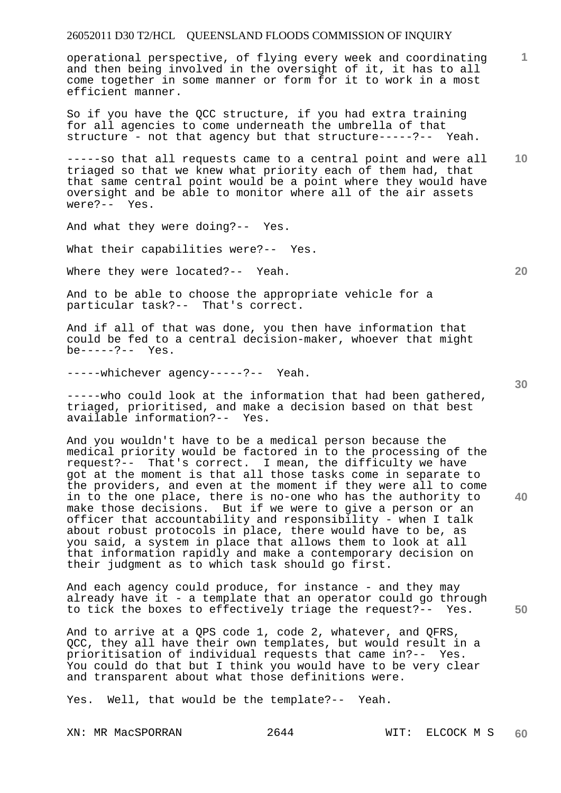operational perspective, of flying every week and coordinating and then being involved in the oversight of it, it has to all come together in some manner or form for it to work in a most efficient manner.

So if you have the QCC structure, if you had extra training for all agencies to come underneath the umbrella of that structure - not that agency but that structure-----?-- Yeah.

**10**  -----so that all requests came to a central point and were all triaged so that we knew what priority each of them had, that that same central point would be a point where they would have oversight and be able to monitor where all of the air assets were?-- Yes.

And what they were doing?-- Yes.

What their capabilities were?-- Yes.

Where they were located?-- Yeah.

And to be able to choose the appropriate vehicle for a particular task?-- That's correct.

And if all of that was done, you then have information that could be fed to a central decision-maker, whoever that might be-----?-- Yes.

-----whichever agency-----?-- Yeah.

-----who could look at the information that had been gathered, triaged, prioritised, and make a decision based on that best available information?-- Yes.

And you wouldn't have to be a medical person because the medical priority would be factored in to the processing of the request?-- That's correct. I mean, the difficulty we have got at the moment is that all those tasks come in separate to the providers, and even at the moment if they were all to come in to the one place, there is no-one who has the authority to make those decisions. But if we were to give a person or an officer that accountability and responsibility - when I talk about robust protocols in place, there would have to be, as you said, a system in place that allows them to look at all that information rapidly and make a contemporary decision on their judgment as to which task should go first.

And each agency could produce, for instance - and they may already have it - a template that an operator could go through to tick the boxes to effectively triage the request?-- Yes.

And to arrive at a QPS code 1, code 2, whatever, and QFRS, QCC, they all have their own templates, but would result in a prioritisation of individual requests that came in?-- Yes. You could do that but I think you would have to be very clear and transparent about what those definitions were.

Yes. Well, that would be the template?-- Yeah.

XN: MR MacSPORRAN 2644 WIT: ELCOCK M S

**20** 

**1**

**40**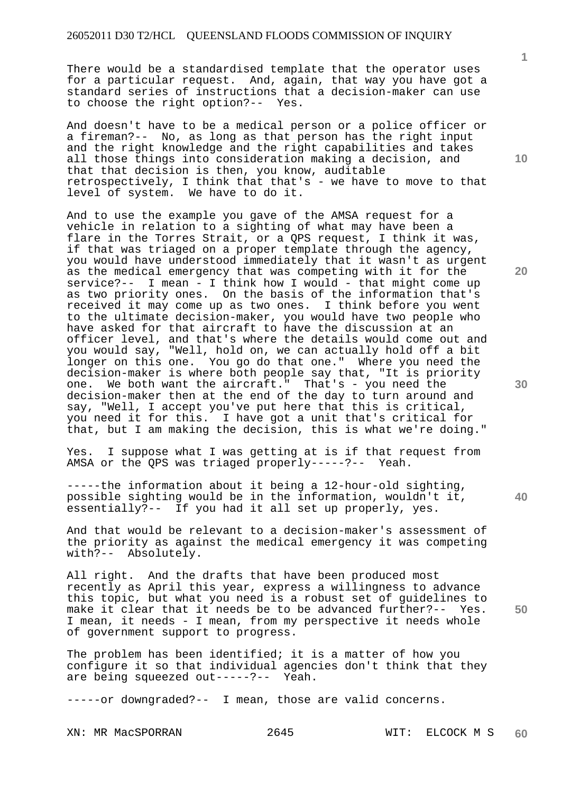There would be a standardised template that the operator uses for a particular request. And, again, that way you have got a standard series of instructions that a decision-maker can use to choose the right option?-- Yes.

And doesn't have to be a medical person or a police officer or a fireman?-- No, as long as that person has the right input and the right knowledge and the right capabilities and takes all those things into consideration making a decision, and that that decision is then, you know, auditable retrospectively, I think that that's - we have to move to that level of system. We have to do it.

And to use the example you gave of the AMSA request for a vehicle in relation to a sighting of what may have been a flare in the Torres Strait, or a QPS request, I think it was, if that was triaged on a proper template through the agency, you would have understood immediately that it wasn't as urgent as the medical emergency that was competing with it for the service?-- I mean - I think how I would - that might come up as two priority ones. On the basis of the information that's received it may come up as two ones. I think before you went to the ultimate decision-maker, you would have two people who have asked for that aircraft to have the discussion at an officer level, and that's where the details would come out and you would say, "Well, hold on, we can actually hold off a bit longer on this one. You go do that one." Where you need the decision-maker is where both people say that, "It is priority one. We both want the aircraft." That's - you need the decision-maker then at the end of the day to turn around and say, "Well, I accept you've put here that this is critical, you need it for this. I have got a unit that's critical for that, but I am making the decision, this is what we're doing."

Yes. I suppose what I was getting at is if that request from AMSA or the QPS was triaged properly-----?-- Yeah.

-----the information about it being a 12-hour-old sighting, possible sighting would be in the information, wouldn't it, essentially?-- If you had it all set up properly, yes.

And that would be relevant to a decision-maker's assessment of the priority as against the medical emergency it was competing with?-- Absolutely.

All right. And the drafts that have been produced most recently as April this year, express a willingness to advance this topic, but what you need is a robust set of guidelines to make it clear that it needs be to be advanced further?-- Yes. I mean, it needs - I mean, from my perspective it needs whole of government support to progress.

The problem has been identified; it is a matter of how you configure it so that individual agencies don't think that they are being squeezed out-----?-- Yeah.

-----or downgraded?-- I mean, those are valid concerns.

XN: MR MacSPORRAN 2645 WIT: ELCOCK M S

**10** 

**1**

**20** 

**30** 

**40**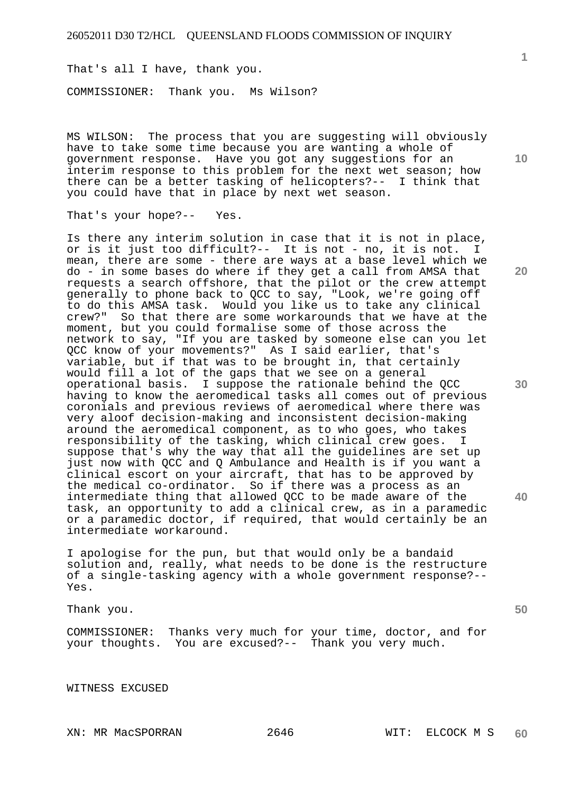That's all I have, thank you.

COMMISSIONER: Thank you. Ms Wilson?

MS WILSON: The process that you are suggesting will obviously have to take some time because you are wanting a whole of government response. Have you got any suggestions for an interim response to this problem for the next wet season; how there can be a better tasking of helicopters?-- I think that you could have that in place by next wet season.

That's your hope?-- Yes.

Is there any interim solution in case that it is not in place, or is it just too difficult?-- It is not - no, it is not. I mean, there are some - there are ways at a base level which we do - in some bases do where if they get a call from AMSA that requests a search offshore, that the pilot or the crew attempt generally to phone back to QCC to say, "Look, we're going off to do this AMSA task. Would you like us to take any clinical crew?" So that there are some workarounds that we have at the moment, but you could formalise some of those across the network to say, "If you are tasked by someone else can you let QCC know of your movements?" As I said earlier, that's variable, but if that was to be brought in, that certainly would fill a lot of the gaps that we see on a general operational basis. I suppose the rationale behind the QCC having to know the aeromedical tasks all comes out of previous coronials and previous reviews of aeromedical where there was very aloof decision-making and inconsistent decision-making around the aeromedical component, as to who goes, who takes responsibility of the tasking, which clinical crew goes. I suppose that's why the way that all the guidelines are set up just now with QCC and Q Ambulance and Health is if you want a clinical escort on your aircraft, that has to be approved by the medical co-ordinator. So if there was a process as an intermediate thing that allowed QCC to be made aware of the task, an opportunity to add a clinical crew, as in a paramedic or a paramedic doctor, if required, that would certainly be an intermediate workaround.

I apologise for the pun, but that would only be a bandaid solution and, really, what needs to be done is the restructure of a single-tasking agency with a whole government response?-- Yes.

Thank you.

COMMISSIONER: Thanks very much for your time, doctor, and for your thoughts. You are excused?-- Thank you very much.

WITNESS EXCUSED

**10** 

**20** 

**30** 

**40**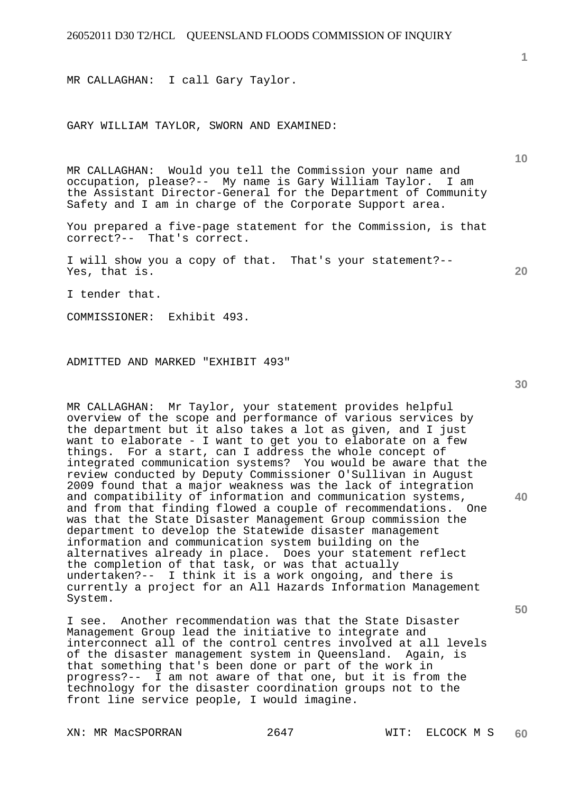MR CALLAGHAN: I call Gary Taylor.

## GARY WILLIAM TAYLOR, SWORN AND EXAMINED:

MR CALLAGHAN: Would you tell the Commission your name and occupation, please?-- My name is Gary William Taylor. I am the Assistant Director-General for the Department of Community Safety and I am in charge of the Corporate Support area.

You prepared a five-page statement for the Commission, is that correct?-- That's correct.

I will show you a copy of that. That's your statement?-- Yes, that is.

I tender that.

COMMISSIONER: Exhibit 493.

ADMITTED AND MARKED "EXHIBIT 493"

MR CALLAGHAN: Mr Taylor, your statement provides helpful overview of the scope and performance of various services by the department but it also takes a lot as given, and I just want to elaborate - I want to get you to elaborate on a few things. For a start, can I address the whole concept of integrated communication systems? You would be aware that the review conducted by Deputy Commissioner O'Sullivan in August 2009 found that a major weakness was the lack of integration and compatibility of information and communication systems, and from that finding flowed a couple of recommendations. One was that the State Disaster Management Group commission the department to develop the Statewide disaster management information and communication system building on the alternatives already in place. Does your statement reflect the completion of that task, or was that actually undertaken?-- I think it is a work ongoing, and there is currently a project for an All Hazards Information Management System.

I see. Another recommendation was that the State Disaster Management Group lead the initiative to integrate and interconnect all of the control centres involved at all levels of the disaster management system in Queensland. Again, is that something that's been done or part of the work in progress?-- I am not aware of that one, but it is from the technology for the disaster coordination groups not to the front line service people, I would imagine.

XN: MR MacSPORRAN 2647 WIT: ELCOCK M S

**1**

**10** 

**20** 

**30** 

**40**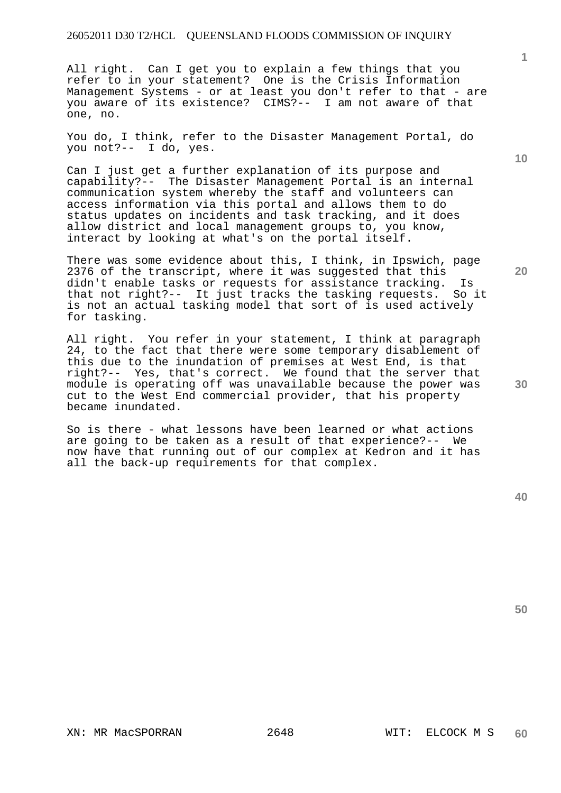All right. Can I get you to explain a few things that you refer to in your statement? One is the Crisis Information Management Systems - or at least you don't refer to that - are you aware of its existence? CIMS?-- I am not aware of that one, no.

You do, I think, refer to the Disaster Management Portal, do you not?-- I do, yes.

Can I just get a further explanation of its purpose and capability?-- The Disaster Management Portal is an internal communication system whereby the staff and volunteers can access information via this portal and allows them to do status updates on incidents and task tracking, and it does allow district and local management groups to, you know, interact by looking at what's on the portal itself.

There was some evidence about this, I think, in Ipswich, page 2376 of the transcript, where it was suggested that this didn't enable tasks or requests for assistance tracking. Is that not right?-- It just tracks the tasking requests. So it is not an actual tasking model that sort of is used actively for tasking.

All right. You refer in your statement, I think at paragraph 24, to the fact that there were some temporary disablement of this due to the inundation of premises at West End, is that right?-- Yes, that's correct. We found that the server that module is operating off was unavailable because the power was cut to the West End commercial provider, that his property became inundated.

So is there - what lessons have been learned or what actions are going to be taken as a result of that experience?-- We now have that running out of our complex at Kedron and it has all the back-up requirements for that complex.

**50** 

XN: MR MacSPORRAN 2648 WIT: ELCOCK M S

**1**

**10** 

**20**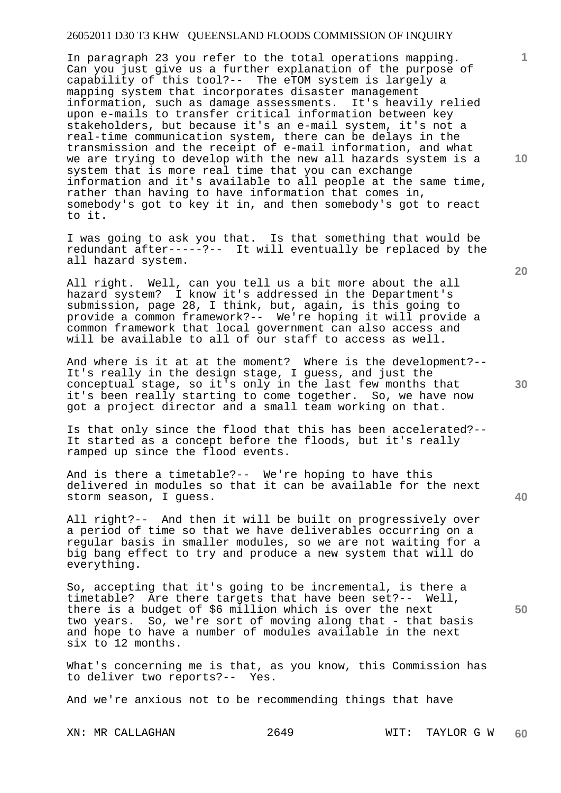In paragraph 23 you refer to the total operations mapping. Can you just give us a further explanation of the purpose of capability of this tool?-- The eTOM system is largely a mapping system that incorporates disaster management information, such as damage assessments. It's heavily relied upon e-mails to transfer critical information between key stakeholders, but because it's an e-mail system, it's not a real-time communication system, there can be delays in the transmission and the receipt of e-mail information, and what we are trying to develop with the new all hazards system is a system that is more real time that you can exchange information and it's available to all people at the same time, rather than having to have information that comes in, somebody's got to key it in, and then somebody's got to react to it.

I was going to ask you that. Is that something that would be redundant after-----?-- It will eventually be replaced by the all hazard system.

All right. Well, can you tell us a bit more about the all hazard system? I know it's addressed in the Department's submission, page 28, I think, but, again, is this going to provide a common framework?-- We're hoping it will provide a common framework that local government can also access and will be available to all of our staff to access as well.

And where is it at at the moment? Where is the development?-- It's really in the design stage, I guess, and just the conceptual stage, so it's only in the last few months that it's been really starting to come together. So, we have now got a project director and a small team working on that.

Is that only since the flood that this has been accelerated?-- It started as a concept before the floods, but it's really ramped up since the flood events.

And is there a timetable?-- We're hoping to have this delivered in modules so that it can be available for the next storm season, I guess.

All right?-- And then it will be built on progressively over a period of time so that we have deliverables occurring on a regular basis in smaller modules, so we are not waiting for a big bang effect to try and produce a new system that will do everything.

So, accepting that it's going to be incremental, is there a timetable? Are there targets that have been set?-- Well, there is a budget of \$6 million which is over the next two years. So, we're sort of moving along that - that basis and hope to have a number of modules available in the next six to 12 months.

What's concerning me is that, as you know, this Commission has to deliver two reports?-- Yes.

And we're anxious not to be recommending things that have

XN: MR CALLAGHAN 2649 WIT: TAYLOR G W **60** 

**10** 

**1**

**20** 

**30**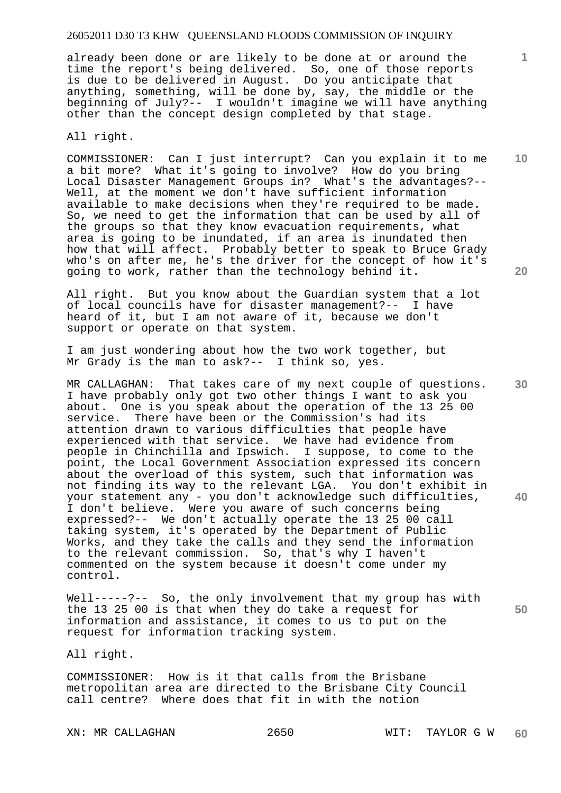already been done or are likely to be done at or around the time the report's being delivered. So, one of those reports is due to be delivered in August. Do you anticipate that anything, something, will be done by, say, the middle or the beginning of July?-- I wouldn't imagine we will have anything other than the concept design completed by that stage.

All right.

COMMISSIONER: Can I just interrupt? Can you explain it to me a bit more? What it's going to involve? How do you bring Local Disaster Management Groups in? What's the advantages?-- Well, at the moment we don't have sufficient information available to make decisions when they're required to be made. So, we need to get the information that can be used by all of the groups so that they know evacuation requirements, what area is going to be inundated, if an area is inundated then how that will affect. Probably better to speak to Bruce Grady who's on after me, he's the driver for the concept of how it's going to work, rather than the technology behind it.

All right. But you know about the Guardian system that a lot of local councils have for disaster management?-- I have heard of it, but I am not aware of it, because we don't support or operate on that system.

I am just wondering about how the two work together, but Mr Grady is the man to ask?-- I think so, yes.

MR CALLAGHAN: That takes care of my next couple of questions. I have probably only got two other things I want to ask you about. One is you speak about the operation of the 13 25 00 service. There have been or the Commission's had its attention drawn to various difficulties that people have experienced with that service. We have had evidence from people in Chinchilla and Ipswich. I suppose, to come to the point, the Local Government Association expressed its concern about the overload of this system, such that information was not finding its way to the relevant LGA. You don't exhibit in your statement any - you don't acknowledge such difficulties, I don't believe. Were you aware of such concerns being expressed?-- We don't actually operate the 13 25 00 call taking system, it's operated by the Department of Public Works, and they take the calls and they send the information to the relevant commission. So, that's why I haven't commented on the system because it doesn't come under my control.

Well-----?-- So, the only involvement that my group has with the 13 25 00 is that when they do take a request for information and assistance, it comes to us to put on the request for information tracking system.

All right.

COMMISSIONER: How is it that calls from the Brisbane metropolitan area are directed to the Brisbane City Council call centre? Where does that fit in with the notion

**10** 

**1**

**20** 

**30** 

**40**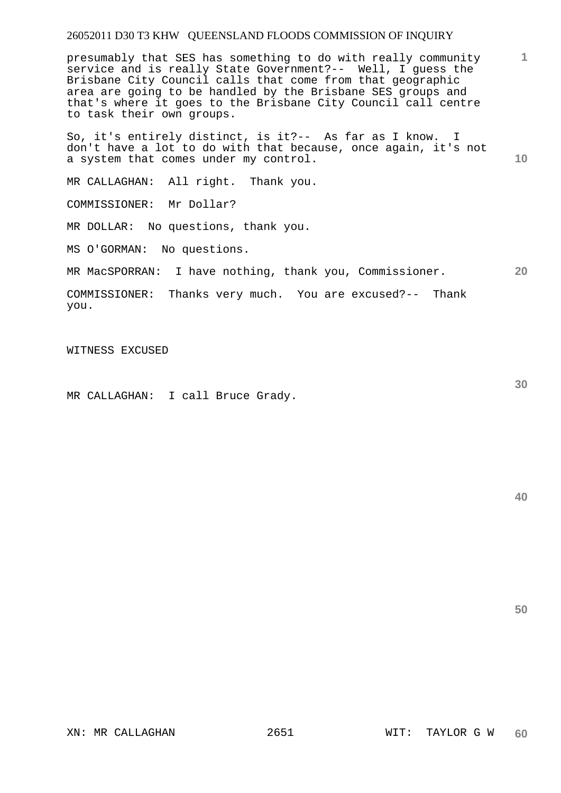presumably that SES has something to do with really community service and is really State Government?-- Well, I guess the Brisbane City Council calls that come from that geographic area are going to be handled by the Brisbane SES groups and that's where it goes to the Brisbane City Council call centre to task their own groups.

**10**  So, it's entirely distinct, is it?-- As far as I know. I don't have a lot to do with that because, once again, it's not a system that comes under my control.

MR CALLAGHAN: All right. Thank you.

COMMISSIONER: Mr Dollar?

MR DOLLAR: No questions, thank you.

MS O'GORMAN: No questions.

**20**  MR MacSPORRAN: I have nothing, thank you, Commissioner.

COMMISSIONER: Thanks very much. You are excused?-- Thank you.

WITNESS EXCUSED

MR CALLAGHAN: I call Bruce Grady.

**40** 

**50** 

**30**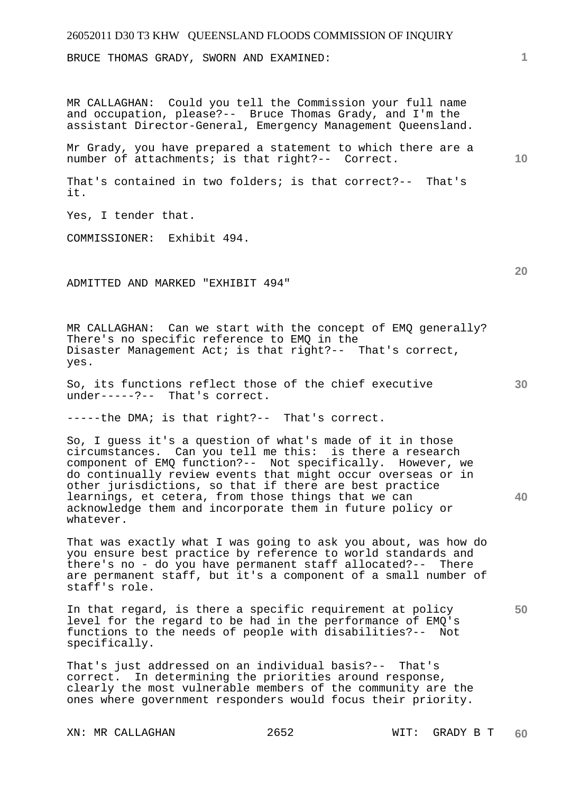BRUCE THOMAS GRADY, SWORN AND EXAMINED:

MR CALLAGHAN: Could you tell the Commission your full name and occupation, please?-- Bruce Thomas Grady, and I'm the assistant Director-General, Emergency Management Queensland.

Mr Grady, you have prepared a statement to which there are a number of attachments; is that right?-- Correct.

That's contained in two folders; is that correct?-- That's it.

Yes, I tender that.

COMMISSIONER: Exhibit 494.

ADMITTED AND MARKED "EXHIBIT 494"

MR CALLAGHAN: Can we start with the concept of EMQ generally? There's no specific reference to EMQ in the Disaster Management Act; is that right?-- That's correct, yes.

So, its functions reflect those of the chief executive under-----?-- That's correct.

-----the DMA; is that right?-- That's correct.

So, I guess it's a question of what's made of it in those circumstances. Can you tell me this: is there a research component of EMQ function?-- Not specifically. However, we do continually review events that might occur overseas or in other jurisdictions, so that if there are best practice learnings, et cetera, from those things that we can acknowledge them and incorporate them in future policy or whatever.

That was exactly what I was going to ask you about, was how do you ensure best practice by reference to world standards and there's no - do you have permanent staff allocated?-- There are permanent staff, but it's a component of a small number of staff's role.

In that regard, is there a specific requirement at policy level for the regard to be had in the performance of EMQ's functions to the needs of people with disabilities?-- Not specifically.

That's just addressed on an individual basis?-- That's correct. In determining the priorities around response, clearly the most vulnerable members of the community are the ones where government responders would focus their priority.

XN: MR CALLAGHAN 2652 WIT: GRADY B T

**20** 

**10** 

**1**

**30** 

**40**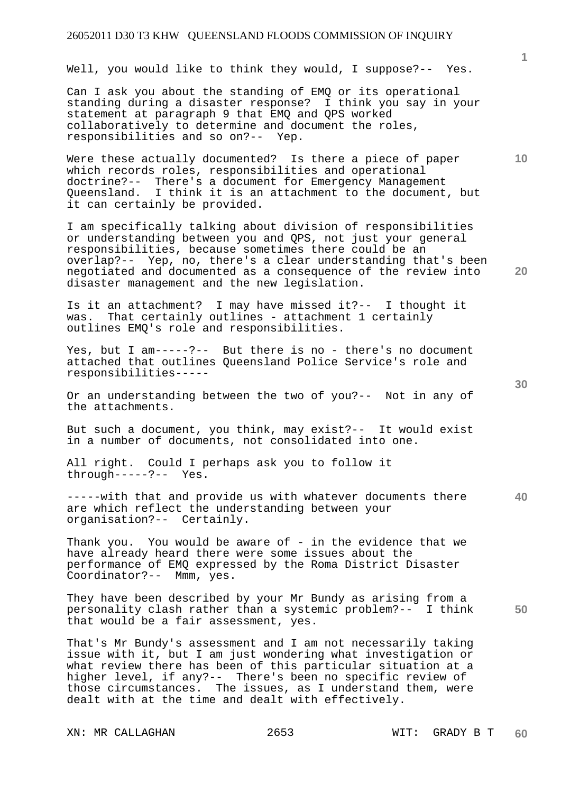Well, you would like to think they would, I suppose?-- Yes.

Can I ask you about the standing of EMQ or its operational standing during a disaster response? I think you say in your statement at paragraph 9 that EMQ and QPS worked collaboratively to determine and document the roles, responsibilities and so on?-- Yep.

Were these actually documented? Is there a piece of paper which records roles, responsibilities and operational doctrine?-- There's a document for Emergency Management Queensland. I think it is an attachment to the document, but it can certainly be provided.

I am specifically talking about division of responsibilities or understanding between you and QPS, not just your general responsibilities, because sometimes there could be an overlap?-- Yep, no, there's a clear understanding that's been negotiated and documented as a consequence of the review into disaster management and the new legislation.

Is it an attachment? I may have missed it?-- I thought it was. That certainly outlines - attachment 1 certainly outlines EMQ's role and responsibilities.

Yes, but I am-----?-- But there is no - there's no document attached that outlines Queensland Police Service's role and responsibilities-----

Or an understanding between the two of you?-- Not in any of the attachments.

But such a document, you think, may exist?-- It would exist in a number of documents, not consolidated into one.

All right. Could I perhaps ask you to follow it through-----?-- Yes.

**40**  -----with that and provide us with whatever documents there are which reflect the understanding between your organisation?-- Certainly.

Thank you. You would be aware of - in the evidence that we have already heard there were some issues about the performance of EMQ expressed by the Roma District Disaster Coordinator?-- Mmm, yes.

**50**  They have been described by your Mr Bundy as arising from a personality clash rather than a systemic problem?-- I think that would be a fair assessment, yes.

That's Mr Bundy's assessment and I am not necessarily taking issue with it, but I am just wondering what investigation or what review there has been of this particular situation at a higher level, if any?-- There's been no specific review of those circumstances. The issues, as I understand them, were dealt with at the time and dealt with effectively.

XN: MR CALLAGHAN 2653 WIT: GRADY B T

**20** 

**10**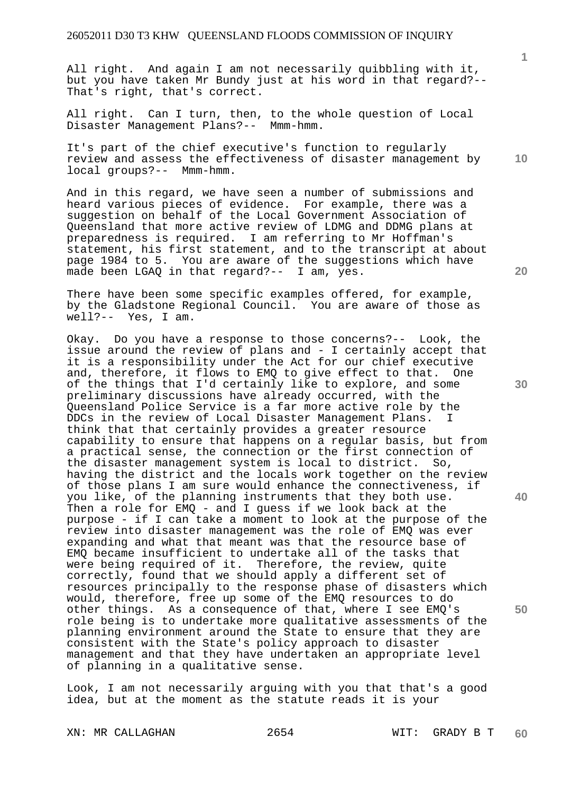All right. And again I am not necessarily quibbling with it, but you have taken Mr Bundy just at his word in that regard?-- That's right, that's correct.

All right. Can I turn, then, to the whole question of Local Disaster Management Plans?-- Mmm-hmm.

It's part of the chief executive's function to regularly review and assess the effectiveness of disaster management by local groups?-- Mmm-hmm.

And in this regard, we have seen a number of submissions and heard various pieces of evidence. For example, there was a suggestion on behalf of the Local Government Association of Queensland that more active review of LDMG and DDMG plans at preparedness is required. I am referring to Mr Hoffman's statement, his first statement, and to the transcript at about page 1984 to 5. You are aware of the suggestions which have made been LGAQ in that regard?-- I am, yes.

There have been some specific examples offered, for example, by the Gladstone Regional Council. You are aware of those as well?-- Yes, I am.

Okay. Do you have a response to those concerns?-- Look, the issue around the review of plans and - I certainly accept that it is a responsibility under the Act for our chief executive and, therefore, it flows to EMQ to give effect to that. One of the things that I'd certainly like to explore, and some preliminary discussions have already occurred, with the Queensland Police Service is a far more active role by the<br>DDCs in the review of Local Disaster Management Plans. I DDCs in the review of Local Disaster Management Plans. think that that certainly provides a greater resource capability to ensure that happens on a regular basis, but from a practical sense, the connection or the first connection of the disaster management system is local to district. So, having the district and the locals work together on the review of those plans I am sure would enhance the connectiveness, if you like, of the planning instruments that they both use. Then a role for EMQ - and I guess if we look back at the purpose - if I can take a moment to look at the purpose of the review into disaster management was the role of EMQ was ever expanding and what that meant was that the resource base of EMQ became insufficient to undertake all of the tasks that were being required of it. Therefore, the review, quite correctly, found that we should apply a different set of resources principally to the response phase of disasters which would, therefore, free up some of the EMQ resources to do other things. As a consequence of that, where I see EMQ's role being is to undertake more qualitative assessments of the planning environment around the State to ensure that they are consistent with the State's policy approach to disaster management and that they have undertaken an appropriate level of planning in a qualitative sense.

Look, I am not necessarily arguing with you that that's a good idea, but at the moment as the statute reads it is your

XN: MR CALLAGHAN 2654 WIT: GRADY B T

**20** 

**30** 

**40** 

**50** 

**1**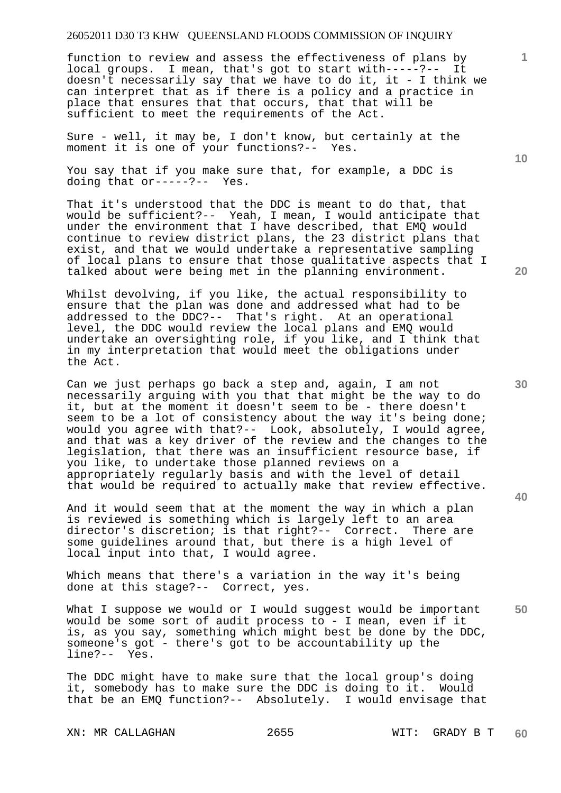function to review and assess the effectiveness of plans by local groups. I mean, that's got to start with-----?-- It doesn't necessarily say that we have to do it, it - I think we can interpret that as if there is a policy and a practice in place that ensures that that occurs, that that will be sufficient to meet the requirements of the Act.

Sure - well, it may be, I don't know, but certainly at the moment it is one of your functions?-- Yes.

You say that if you make sure that, for example, a DDC is doing that or-----?-- Yes.

That it's understood that the DDC is meant to do that, that would be sufficient?-- Yeah, I mean, I would anticipate that under the environment that I have described, that EMQ would continue to review district plans, the 23 district plans that exist, and that we would undertake a representative sampling of local plans to ensure that those qualitative aspects that I talked about were being met in the planning environment.

Whilst devolving, if you like, the actual responsibility to ensure that the plan was done and addressed what had to be addressed to the DDC?-- That's right. At an operational level, the DDC would review the local plans and EMQ would undertake an oversighting role, if you like, and I think that in my interpretation that would meet the obligations under the Act.

Can we just perhaps go back a step and, again, I am not necessarily arguing with you that that might be the way to do it, but at the moment it doesn't seem to be - there doesn't seem to be a lot of consistency about the way it's being done; would you agree with that?-- Look, absolutely, I would agree, and that was a key driver of the review and the changes to the legislation, that there was an insufficient resource base, if you like, to undertake those planned reviews on a appropriately regularly basis and with the level of detail that would be required to actually make that review effective.

And it would seem that at the moment the way in which a plan is reviewed is something which is largely left to an area director's discretion; is that right?-- Correct. There are some guidelines around that, but there is a high level of local input into that, I would agree.

Which means that there's a variation in the way it's being done at this stage?-- Correct, yes.

**50**  What I suppose we would or I would suggest would be important would be some sort of audit process to - I mean, even if it is, as you say, something which might best be done by the DDC, someone's got - there's got to be accountability up the line?-- Yes.

The DDC might have to make sure that the local group's doing it, somebody has to make sure the DDC is doing to it. Would that be an EMQ function?-- Absolutely. I would envisage that

**10** 

**1**

**30**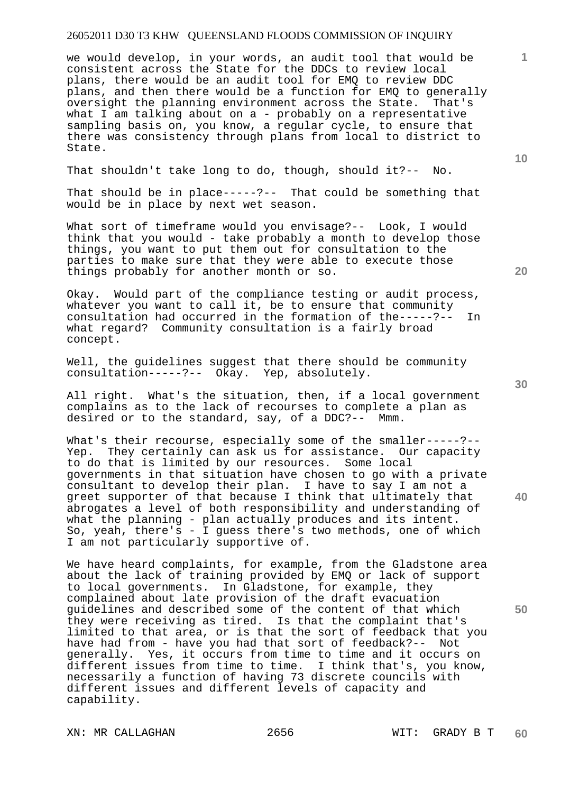we would develop, in your words, an audit tool that would be consistent across the State for the DDCs to review local plans, there would be an audit tool for EMQ to review DDC plans, and then there would be a function for EMQ to generally oversight the planning environment across the State. That's what I am talking about on a - probably on a representative sampling basis on, you know, a regular cycle, to ensure that there was consistency through plans from local to district to State.

That shouldn't take long to do, though, should it?-- No.

That should be in place-----?-- That could be something that would be in place by next wet season.

What sort of timeframe would you envisage?-- Look, I would think that you would - take probably a month to develop those things, you want to put them out for consultation to the parties to make sure that they were able to execute those things probably for another month or so.

Okay. Would part of the compliance testing or audit process, whatever you want to call it, be to ensure that community consultation had occurred in the formation of the-----?-- In what regard? Community consultation is a fairly broad concept.

Well, the guidelines suggest that there should be community consultation-----?-- Okay. Yep, absolutely.

All right. What's the situation, then, if a local government complains as to the lack of recourses to complete a plan as desired or to the standard, say, of a DDC?-- Mmm.

What's their recourse, especially some of the smaller-----?--Yep. They certainly can ask us for assistance. Our capacity to do that is limited by our resources. Some local governments in that situation have chosen to go with a private consultant to develop their plan. I have to say I am not a greet supporter of that because I think that ultimately that abrogates a level of both responsibility and understanding of what the planning - plan actually produces and its intent. So, yeah, there's - I guess there's two methods, one of which I am not particularly supportive of.

We have heard complaints, for example, from the Gladstone area about the lack of training provided by EMQ or lack of support to local governments. In Gladstone, for example, they complained about late provision of the draft evacuation guidelines and described some of the content of that which they were receiving as tired. Is that the complaint that's limited to that area, or is that the sort of feedback that you have had from - have you had that sort of feedback?-- Not generally. Yes, it occurs from time to time and it occurs on different issues from time to time. I think that's, you know, necessarily a function of having 73 discrete councils with different issues and different levels of capacity and capability.

XN: MR CALLAGHAN 2656 WIT: GRADY B T

**20** 

**10** 

**40** 

**50**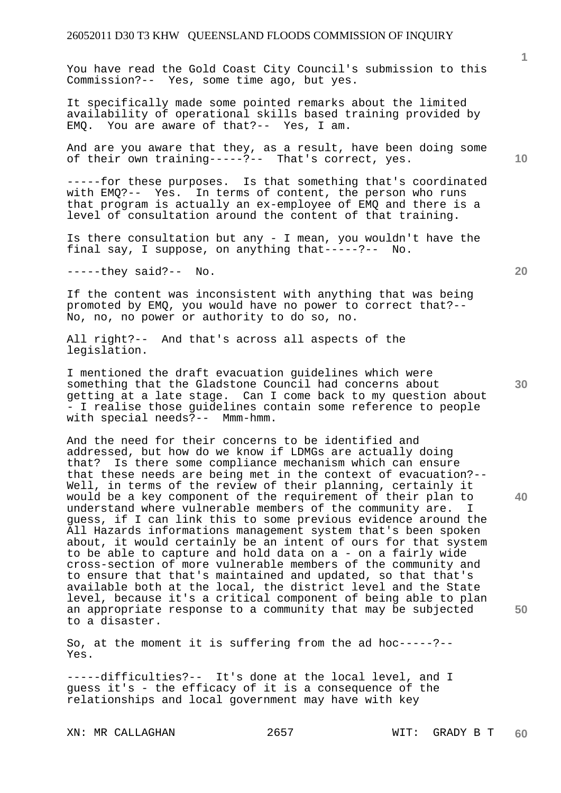You have read the Gold Coast City Council's submission to this Commission?-- Yes, some time ago, but yes.

It specifically made some pointed remarks about the limited availability of operational skills based training provided by EMQ. You are aware of that?-- Yes, I am.

And are you aware that they, as a result, have been doing some of their own training-----?-- That's correct, yes.

-----for these purposes. Is that something that's coordinated with EMQ?-- Yes. In terms of content, the person who runs that program is actually an ex-employee of EMQ and there is a level of consultation around the content of that training.

Is there consultation but any - I mean, you wouldn't have the final say, I suppose, on anything that-----?-- No.

-----they said?-- No.

If the content was inconsistent with anything that was being promoted by EMQ, you would have no power to correct that?-- No, no, no power or authority to do so, no.

All right?-- And that's across all aspects of the legislation.

I mentioned the draft evacuation guidelines which were something that the Gladstone Council had concerns about getting at a late stage. Can I come back to my question about - I realise those guidelines contain some reference to people with special needs?-- Mmm-hmm.

And the need for their concerns to be identified and addressed, but how do we know if LDMGs are actually doing that? Is there some compliance mechanism which can ensure that these needs are being met in the context of evacuation?-- Well, in terms of the review of their planning, certainly it would be a key component of the requirement of their plan to understand where vulnerable members of the community are. I guess, if I can link this to some previous evidence around the All Hazards informations management system that's been spoken about, it would certainly be an intent of ours for that system to be able to capture and hold data on a - on a fairly wide cross-section of more vulnerable members of the community and to ensure that that's maintained and updated, so that that's available both at the local, the district level and the State level, because it's a critical component of being able to plan an appropriate response to a community that may be subjected to a disaster.

So, at the moment it is suffering from the ad hoc-----?-- Yes.

-----difficulties?-- It's done at the local level, and I guess it's - the efficacy of it is a consequence of the relationships and local government may have with key

XN: MR CALLAGHAN 2657 WIT: GRADY B T

**10** 

**1**

**20** 

**50**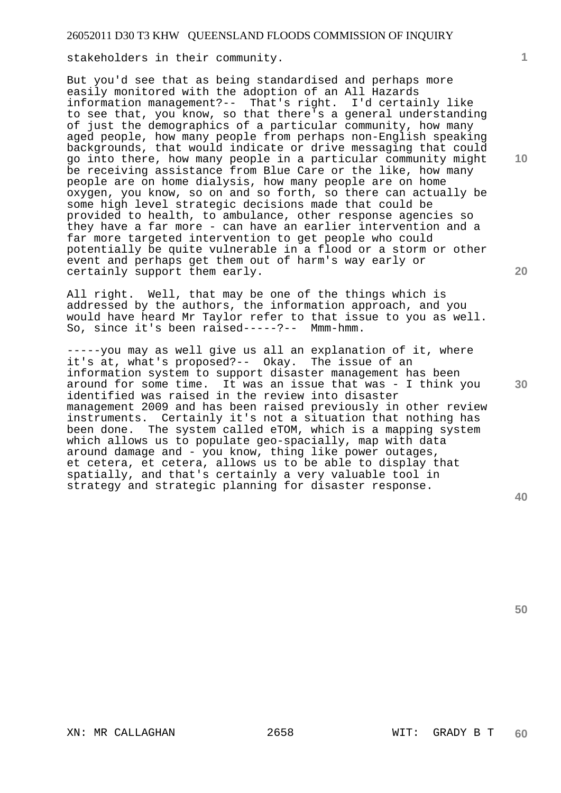stakeholders in their community.

But you'd see that as being standardised and perhaps more easily monitored with the adoption of an All Hazards information management?-- That's right. I'd certainly like to see that, you know, so that there's a general understanding of just the demographics of a particular community, how many aged people, how many people from perhaps non-English speaking backgrounds, that would indicate or drive messaging that could go into there, how many people in a particular community might be receiving assistance from Blue Care or the like, how many people are on home dialysis, how many people are on home oxygen, you know, so on and so forth, so there can actually be some high level strategic decisions made that could be provided to health, to ambulance, other response agencies so they have a far more - can have an earlier intervention and a far more targeted intervention to get people who could potentially be quite vulnerable in a flood or a storm or other event and perhaps get them out of harm's way early or certainly support them early.

All right. Well, that may be one of the things which is addressed by the authors, the information approach, and you would have heard Mr Taylor refer to that issue to you as well. So, since it's been raised-----?-- Mmm-hmm.

-----you may as well give us all an explanation of it, where it's at, what's proposed?-- Okay. The issue of an information system to support disaster management has been around for some time. It was an issue that was - I think you identified was raised in the review into disaster management 2009 and has been raised previously in other review instruments. Certainly it's not a situation that nothing has been done. The system called eTOM, which is a mapping system which allows us to populate geo-spacially, map with data around damage and - you know, thing like power outages, et cetera, et cetera, allows us to be able to display that spatially, and that's certainly a very valuable tool in strategy and strategic planning for disaster response.

**20** 

**1**

**10** 

**30** 

**40**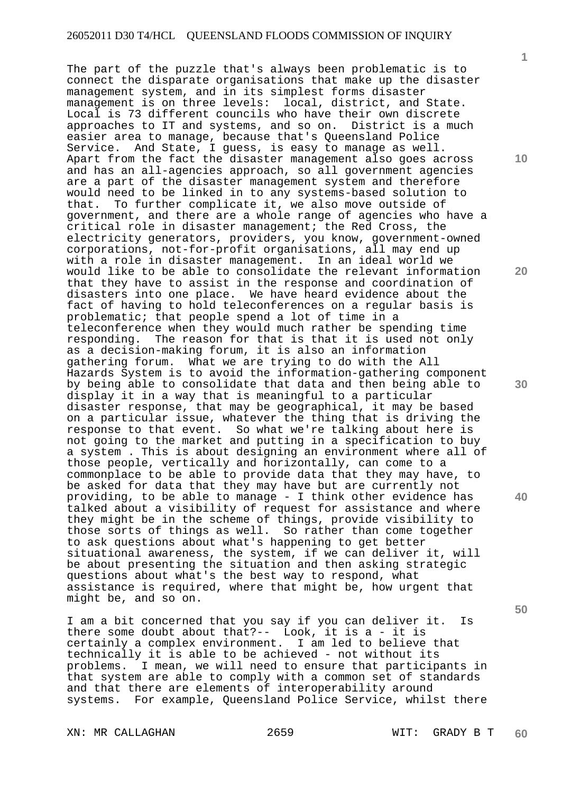The part of the puzzle that's always been problematic is to connect the disparate organisations that make up the disaster management system, and in its simplest forms disaster management is on three levels: local, district, and State. Local is 73 different councils who have their own discrete approaches to IT and systems, and so on. District is a much easier area to manage, because that's Queensland Police Service. And State, I guess, is easy to manage as well. Apart from the fact the disaster management also goes across and has an all-agencies approach, so all government agencies are a part of the disaster management system and therefore would need to be linked in to any systems-based solution to that. To further complicate it, we also move outside of government, and there are a whole range of agencies who have a critical role in disaster management; the Red Cross, the electricity generators, providers, you know, government-owned corporations, not-for-profit organisations, all may end up with a role in disaster management. In an ideal world we would like to be able to consolidate the relevant information that they have to assist in the response and coordination of disasters into one place. We have heard evidence about the fact of having to hold teleconferences on a regular basis is problematic; that people spend a lot of time in a teleconference when they would much rather be spending time responding. The reason for that is that it is used not only as a decision-making forum, it is also an information gathering forum. What we are trying to do with the All Hazards System is to avoid the information-gathering component by being able to consolidate that data and then being able to display it in a way that is meaningful to a particular disaster response, that may be geographical, it may be based on a particular issue, whatever the thing that is driving the response to that event. So what we're talking about here is not going to the market and putting in a specification to buy a system . This is about designing an environment where all of those people, vertically and horizontally, can come to a commonplace to be able to provide data that they may have, to be asked for data that they may have but are currently not providing, to be able to manage - I think other evidence has talked about a visibility of request for assistance and where they might be in the scheme of things, provide visibility to those sorts of things as well. So rather than come together to ask questions about what's happening to get better situational awareness, the system, if we can deliver it, will be about presenting the situation and then asking strategic questions about what's the best way to respond, what assistance is required, where that might be, how urgent that might be, and so on.

I am a bit concerned that you say if you can deliver it. Is there some doubt about that?-- Look, it is a - it is certainly a complex environment. I am led to believe that technically it is able to be achieved - not without its problems. I mean, we will need to ensure that participants in that system are able to comply with a common set of standards and that there are elements of interoperability around systems. For example, Queensland Police Service, whilst there

XN: MR CALLAGHAN 2659 WIT: GRADY B T

**1**

**10** 

**20** 

**30** 

**40**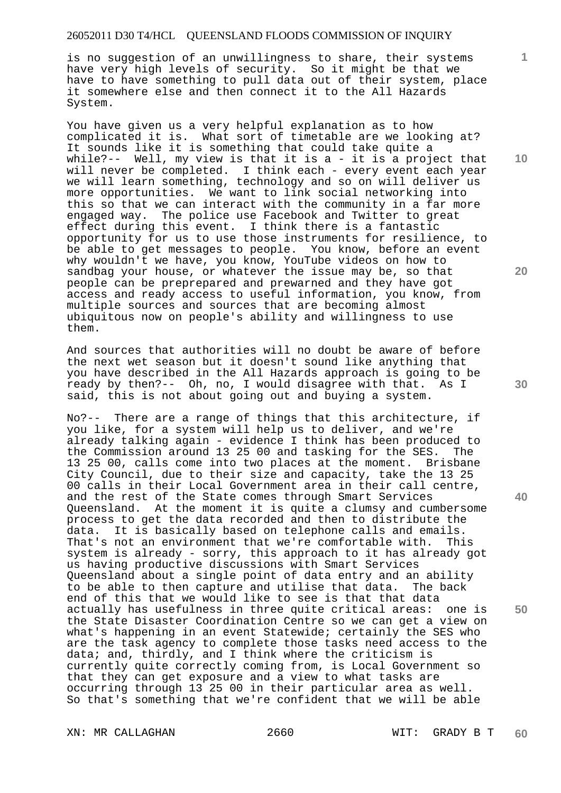is no suggestion of an unwillingness to share, their systems have very high levels of security. So it might be that we have to have something to pull data out of their system, place it somewhere else and then connect it to the All Hazards System.

You have given us a very helpful explanation as to how complicated it is. What sort of timetable are we looking at? It sounds like it is something that could take quite a while?-- Well, my view is that it is a - it is a project that will never be completed. I think each - every event each year we will learn something, technology and so on will deliver us more opportunities. We want to link social networking into this so that we can interact with the community in a far more engaged way. The police use Facebook and Twitter to great effect during this event. I think there is a fantastic opportunity for us to use those instruments for resilience, to be able to get messages to people. You know, before an event why wouldn't we have, you know, YouTube videos on how to sandbag your house, or whatever the issue may be, so that people can be preprepared and prewarned and they have got access and ready access to useful information, you know, from multiple sources and sources that are becoming almost ubiquitous now on people's ability and willingness to use them.

And sources that authorities will no doubt be aware of before the next wet season but it doesn't sound like anything that you have described in the All Hazards approach is going to be ready by then?-- Oh, no, I would disagree with that. As I said, this is not about going out and buying a system.

No?-- There are a range of things that this architecture, if you like, for a system will help us to deliver, and we're already talking again - evidence I think has been produced to the Commission around 13 25 00 and tasking for the SES. The 13 25 00, calls come into two places at the moment. Brisbane City Council, due to their size and capacity, take the 13 25 00 calls in their Local Government area in their call centre, and the rest of the State comes through Smart Services Queensland. At the moment it is quite a clumsy and cumbersome process to get the data recorded and then to distribute the data. It is basically based on telephone calls and emails. That's not an environment that we're comfortable with. This system is already - sorry, this approach to it has already got us having productive discussions with Smart Services Queensland about a single point of data entry and an ability to be able to then capture and utilise that data. The back end of this that we would like to see is that that data actually has usefulness in three quite critical areas: one is the State Disaster Coordination Centre so we can get a view on what's happening in an event Statewide; certainly the SES who are the task agency to complete those tasks need access to the data; and, thirdly, and I think where the criticism is currently quite correctly coming from, is Local Government so that they can get exposure and a view to what tasks are occurring through 13 25 00 in their particular area as well. So that's something that we're confident that we will be able

XN: MR CALLAGHAN 2660 WIT: GRADY B T

**10** 

**1**

**20** 

**40** 

**50**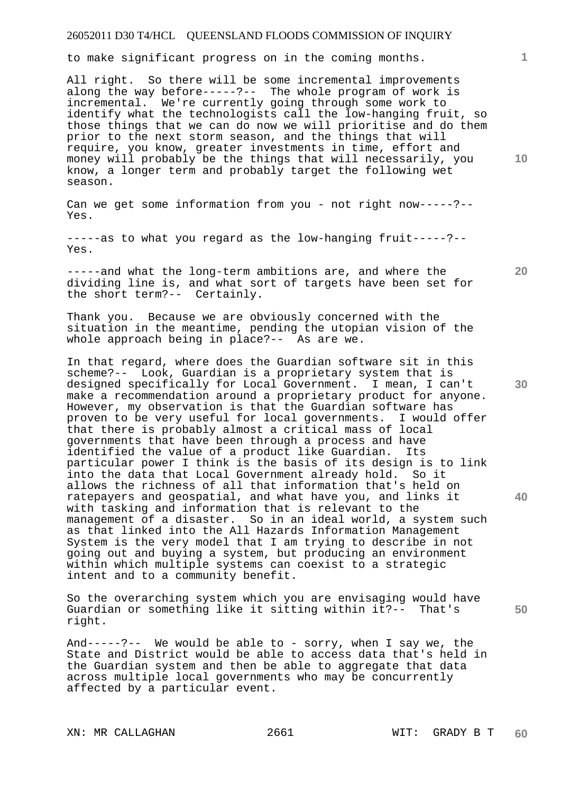to make significant progress on in the coming months.

All right. So there will be some incremental improvements along the way before-----?-- The whole program of work is incremental. We're currently going through some work to identify what the technologists call the low-hanging fruit, so those things that we can do now we will prioritise and do them prior to the next storm season, and the things that will require, you know, greater investments in time, effort and money will probably be the things that will necessarily, you know, a longer term and probably target the following wet season.

Can we get some information from you - not right now-----?-- Yes.

-----as to what you regard as the low-hanging fruit-----?-- Yes.

-----and what the long-term ambitions are, and where the dividing line is, and what sort of targets have been set for the short term?-- Certainly.

Thank you. Because we are obviously concerned with the situation in the meantime, pending the utopian vision of the whole approach being in place?-- As are we.

In that regard, where does the Guardian software sit in this scheme?-- Look, Guardian is a proprietary system that is designed specifically for Local Government. I mean, I can't make a recommendation around a proprietary product for anyone. However, my observation is that the Guardian software has<br>proven to be very useful for local governments. I would offer proven to be very useful for local governments. that there is probably almost a critical mass of local governments that have been through a process and have identified the value of a product like Guardian. Its particular power I think is the basis of its design is to link into the data that Local Government already hold. So it allows the richness of all that information that's held on ratepayers and geospatial, and what have you, and links it with tasking and information that is relevant to the management of a disaster. So in an ideal world, a system such as that linked into the All Hazards Information Management System is the very model that I am trying to describe in not going out and buying a system, but producing an environment within which multiple systems can coexist to a strategic intent and to a community benefit.

So the overarching system which you are envisaging would have Guardian or something like it sitting within it?-- That's right.

And-----?-- We would be able to - sorry, when I say we, the State and District would be able to access data that's held in the Guardian system and then be able to aggregate that data across multiple local governments who may be concurrently affected by a particular event.

XN: MR CALLAGHAN 2661 WIT: GRADY B T

**20** 

**10** 

**1**

**40**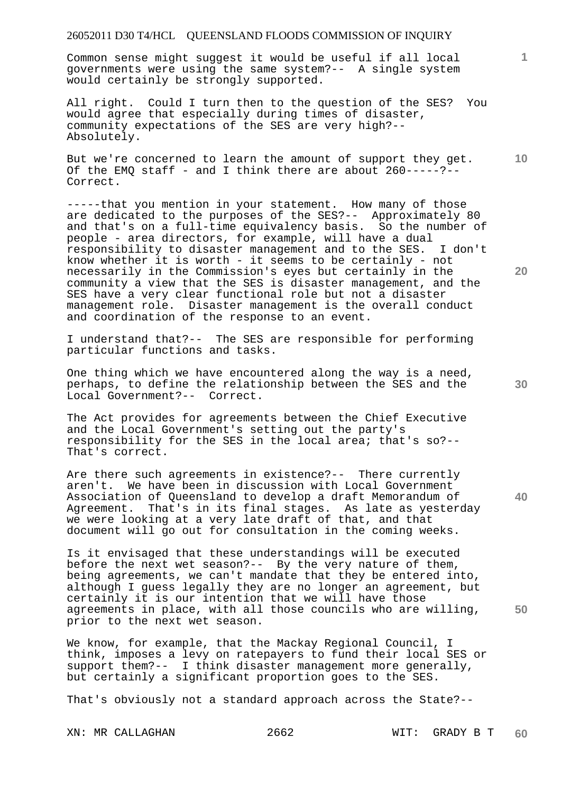Common sense might suggest it would be useful if all local governments were using the same system?-- A single system would certainly be strongly supported.

All right. Could I turn then to the question of the SES? You would agree that especially during times of disaster, community expectations of the SES are very high?-- Absolutely.

But we're concerned to learn the amount of support they get. Of the EMQ staff - and I think there are about  $260-----?--$ Correct.

-----that you mention in your statement. How many of those are dedicated to the purposes of the SES?-- Approximately 80 and that's on a full-time equivalency basis. So the number of people - area directors, for example, will have a dual responsibility to disaster management and to the SES. I don't know whether it is worth - it seems to be certainly - not necessarily in the Commission's eyes but certainly in the community a view that the SES is disaster management, and the SES have a very clear functional role but not a disaster management role. Disaster management is the overall conduct and coordination of the response to an event.

I understand that?-- The SES are responsible for performing particular functions and tasks.

One thing which we have encountered along the way is a need, perhaps, to define the relationship between the SES and the Local Government?-- Correct.

The Act provides for agreements between the Chief Executive and the Local Government's setting out the party's responsibility for the SES in the local area; that's so?-- That's correct.

Are there such agreements in existence?-- There currently aren't. We have been in discussion with Local Government Association of Queensland to develop a draft Memorandum of Agreement. That's in its final stages. As late as yesterday we were looking at a very late draft of that, and that document will go out for consultation in the coming weeks.

Is it envisaged that these understandings will be executed before the next wet season?-- By the very nature of them, being agreements, we can't mandate that they be entered into, although I guess legally they are no longer an agreement, but certainly it is our intention that we will have those agreements in place, with all those councils who are willing, prior to the next wet season.

We know, for example, that the Mackay Regional Council, I think, imposes a levy on ratepayers to fund their local SES or support them?-- I think disaster management more generally, but certainly a significant proportion goes to the SES.

That's obviously not a standard approach across the State?--

**20** 

**40** 

**50** 

**10**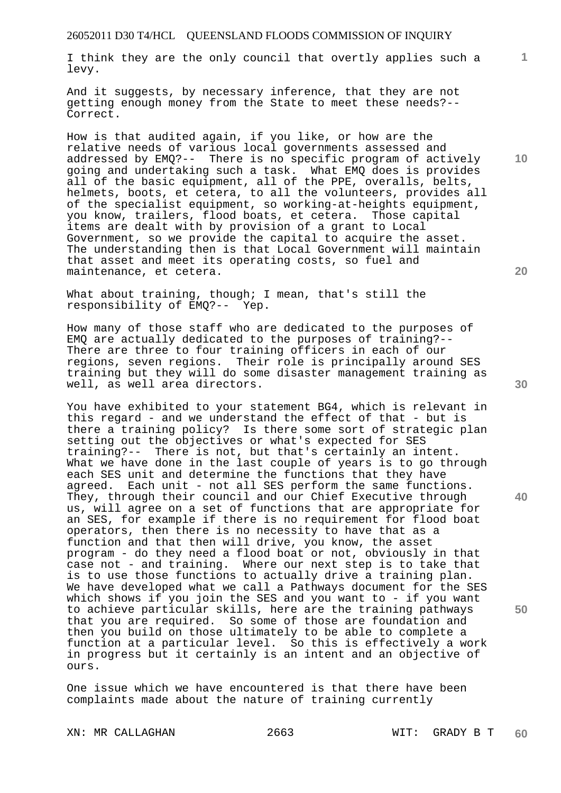I think they are the only council that overtly applies such a levy.

And it suggests, by necessary inference, that they are not getting enough money from the State to meet these needs?-- Correct.

How is that audited again, if you like, or how are the relative needs of various local governments assessed and addressed by EMQ?-- There is no specific program of actively going and undertaking such a task. What EMQ does is provides all of the basic equipment, all of the PPE, overalls, belts, helmets, boots, et cetera, to all the volunteers, provides all of the specialist equipment, so working-at-heights equipment, you know, trailers, flood boats, et cetera. Those capital items are dealt with by provision of a grant to Local Government, so we provide the capital to acquire the asset. The understanding then is that Local Government will maintain that asset and meet its operating costs, so fuel and maintenance, et cetera.

What about training, though; I mean, that's still the responsibility of EMQ?-- Yep.

How many of those staff who are dedicated to the purposes of EMQ are actually dedicated to the purposes of training?-- There are three to four training officers in each of our regions, seven regions. Their role is principally around SES training but they will do some disaster management training as well, as well area directors.

You have exhibited to your statement BG4, which is relevant in this regard - and we understand the effect of that - but is there a training policy? Is there some sort of strategic plan setting out the objectives or what's expected for SES training?-- There is not, but that's certainly an intent. What we have done in the last couple of years is to go through each SES unit and determine the functions that they have agreed. Each unit - not all SES perform the same functions. They, through their council and our Chief Executive through us, will agree on a set of functions that are appropriate for an SES, for example if there is no requirement for flood boat operators, then there is no necessity to have that as a function and that then will drive, you know, the asset program - do they need a flood boat or not, obviously in that case not - and training. Where our next step is to take that is to use those functions to actually drive a training plan. We have developed what we call a Pathways document for the SES which shows if you join the SES and you want to - if you want to achieve particular skills, here are the training pathways that you are required. So some of those are foundation and then you build on those ultimately to be able to complete a function at a particular level. So this is effectively a work in progress but it certainly is an intent and an objective of ours.

One issue which we have encountered is that there have been complaints made about the nature of training currently

XN: MR CALLAGHAN 2663 WIT: GRADY B T

**30** 

**20** 

**40** 

**50** 

**10**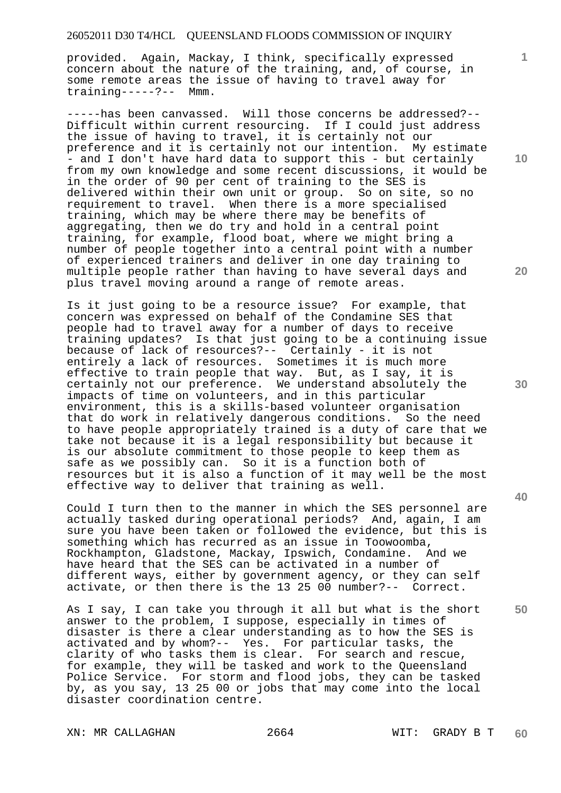provided. Again, Mackay, I think, specifically expressed concern about the nature of the training, and, of course, in some remote areas the issue of having to travel away for training-----?-- Mmm.

-----has been canvassed. Will those concerns be addressed?-- Difficult within current resourcing. If I could just address the issue of having to travel, it is certainly not our preference and it is certainly not our intention. My estimate - and I don't have hard data to support this - but certainly from my own knowledge and some recent discussions, it would be in the order of 90 per cent of training to the SES is delivered within their own unit or group. So on site, so no<br>requirement to travel. When there is a more specialised When there is a more specialised training, which may be where there may be benefits of aggregating, then we do try and hold in a central point training, for example, flood boat, where we might bring a number of people together into a central point with a number of experienced trainers and deliver in one day training to multiple people rather than having to have several days and plus travel moving around a range of remote areas.

Is it just going to be a resource issue? For example, that concern was expressed on behalf of the Condamine SES that people had to travel away for a number of days to receive training updates? Is that just going to be a continuing issue because of lack of resources?-- Certainly - it is not entirely a lack of resources. Sometimes it is much more effective to train people that way. But, as I say, it is certainly not our preference. We understand absolutely the impacts of time on volunteers, and in this particular environment, this is a skills-based volunteer organisation that do work in relatively dangerous conditions. So the need to have people appropriately trained is a duty of care that we take not because it is a legal responsibility but because it is our absolute commitment to those people to keep them as safe as we possibly can. So it is a function both of resources but it is also a function of it may well be the most effective way to deliver that training as well.

Could I turn then to the manner in which the SES personnel are actually tasked during operational periods? And, again, I am sure you have been taken or followed the evidence, but this is something which has recurred as an issue in Toowoomba, Rockhampton, Gladstone, Mackay, Ipswich, Condamine. And we have heard that the SES can be activated in a number of different ways, either by government agency, or they can self activate, or then there is the 13 25 00 number?-- Correct.

As I say, I can take you through it all but what is the short answer to the problem, I suppose, especially in times of disaster is there a clear understanding as to how the SES is activated and by whom?-- Yes. For particular tasks, the clarity of who tasks them is clear. For search and rescue, for example, they will be tasked and work to the Queensland Police Service. For storm and flood jobs, they can be tasked by, as you say, 13 25 00 or jobs that may come into the local disaster coordination centre.

XN: MR CALLAGHAN 2664 WIT: GRADY B T

**10** 

**1**

**20** 

**30** 

**40**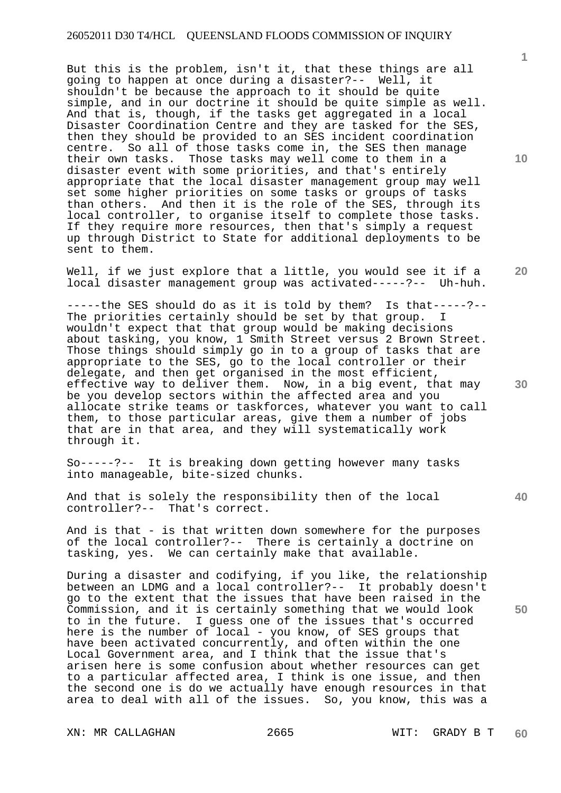But this is the problem, isn't it, that these things are all going to happen at once during a disaster?-- Well, it shouldn't be because the approach to it should be quite simple, and in our doctrine it should be quite simple as well. And that is, though, if the tasks get aggregated in a local Disaster Coordination Centre and they are tasked for the SES, then they should be provided to an SES incident coordination centre. So all of those tasks come in, the SES then manage their own tasks. Those tasks may well come to them in a disaster event with some priorities, and that's entirely appropriate that the local disaster management group may well set some higher priorities on some tasks or groups of tasks than others. And then it is the role of the SES, through its local controller, to organise itself to complete those tasks. If they require more resources, then that's simply a request up through District to State for additional deployments to be sent to them.

Well, if we just explore that a little, you would see it if a local disaster management group was activated-----?-- Uh-huh.

-----the SES should do as it is told by them? Is that-----?--The priorities certainly should be set by that group. I wouldn't expect that that group would be making decisions about tasking, you know, 1 Smith Street versus 2 Brown Street. Those things should simply go in to a group of tasks that are appropriate to the SES, go to the local controller or their delegate, and then get organised in the most efficient, effective way to deliver them. Now, in a big event, that may be you develop sectors within the affected area and you allocate strike teams or taskforces, whatever you want to call them, to those particular areas, give them a number of jobs that are in that area, and they will systematically work through it.

So-----?-- It is breaking down getting however many tasks into manageable, bite-sized chunks.

And that is solely the responsibility then of the local controller?-- That's correct.

And is that - is that written down somewhere for the purposes of the local controller?-- There is certainly a doctrine on tasking, yes. We can certainly make that available.

During a disaster and codifying, if you like, the relationship between an LDMG and a local controller?-- It probably doesn't go to the extent that the issues that have been raised in the Commission, and it is certainly something that we would look to in the future. I guess one of the issues that's occurred here is the number of local - you know, of SES groups that have been activated concurrently, and often within the one Local Government area, and I think that the issue that's arisen here is some confusion about whether resources can get to a particular affected area, I think is one issue, and then the second one is do we actually have enough resources in that area to deal with all of the issues. So, you know, this was a

XN: MR CALLAGHAN 2665 WIT: GRADY B T

**10** 

**1**

**20** 

**30** 

**40**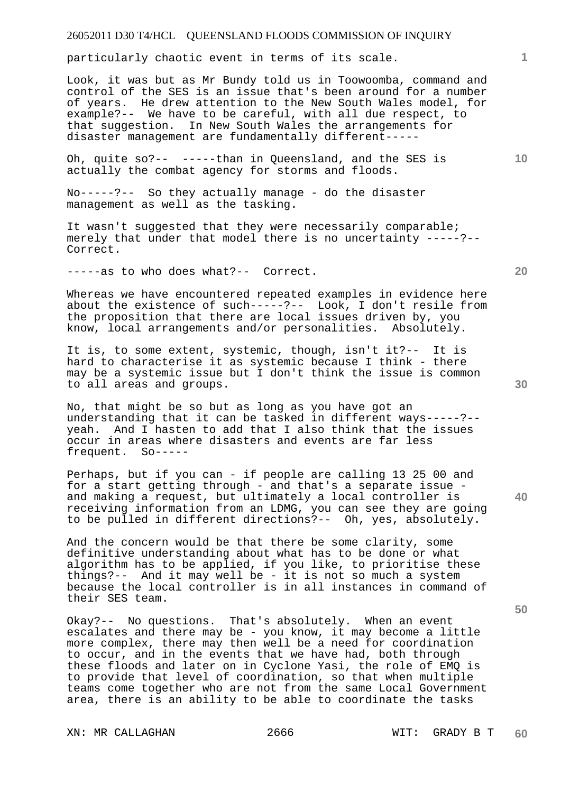particularly chaotic event in terms of its scale.

Look, it was but as Mr Bundy told us in Toowoomba, command and control of the SES is an issue that's been around for a number of years. He drew attention to the New South Wales model, for example?-- We have to be careful, with all due respect, to that suggestion. In New South Wales the arrangements for disaster management are fundamentally different-----

Oh, quite so?-- -----than in Queensland, and the SES is actually the combat agency for storms and floods.

No-----?-- So they actually manage - do the disaster management as well as the tasking.

It wasn't suggested that they were necessarily comparable; merely that under that model there is no uncertainty -----?-- Correct.

-----as to who does what?-- Correct.

Whereas we have encountered repeated examples in evidence here about the existence of such-----?-- Look, I don't resile from the proposition that there are local issues driven by, you know, local arrangements and/or personalities. Absolutely.

It is, to some extent, systemic, though, isn't it?-- It is hard to characterise it as systemic because I think - there may be a systemic issue but I don't think the issue is common to all areas and groups.

No, that might be so but as long as you have got an understanding that it can be tasked in different ways-----?- yeah. And I hasten to add that I also think that the issues occur in areas where disasters and events are far less frequent. So-----

Perhaps, but if you can - if people are calling 13 25 00 and for a start getting through - and that's a separate issue and making a request, but ultimately a local controller is receiving information from an LDMG, you can see they are going to be pulled in different directions?-- Oh, yes, absolutely.

And the concern would be that there be some clarity, some definitive understanding about what has to be done or what algorithm has to be applied, if you like, to prioritise these things?-- And it may well be - it is not so much a system because the local controller is in all instances in command of their SES team.

Okay?-- No questions. That's absolutely. When an event escalates and there may be - you know, it may become a little more complex, there may then well be a need for coordination to occur, and in the events that we have had, both through these floods and later on in Cyclone Yasi, the role of EMQ is to provide that level of coordination, so that when multiple teams come together who are not from the same Local Government area, there is an ability to be able to coordinate the tasks

**20** 

**1**

**10** 

**40** 

**50**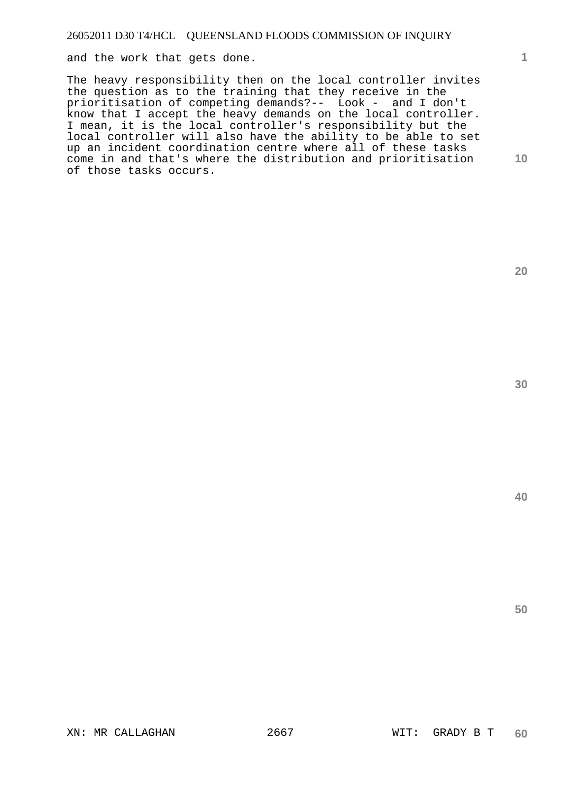and the work that gets done.

The heavy responsibility then on the local controller invites the question as to the training that they receive in the prioritisation of competing demands?-- Look - and I don't know that I accept the heavy demands on the local controller. I mean, it is the local controller's responsibility but the local controller will also have the ability to be able to set up an incident coordination centre where all of these tasks come in and that's where the distribution and prioritisation of those tasks occurs.

**20** 

**1**

**10** 

**40**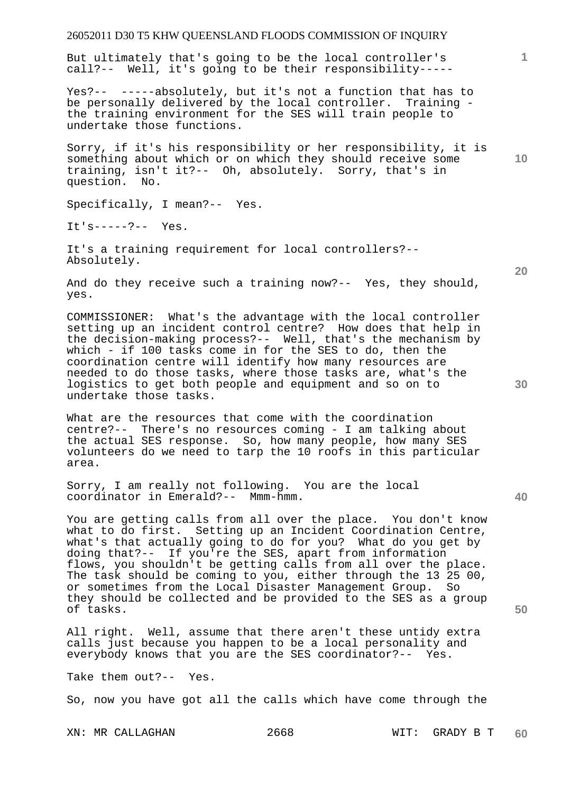But ultimately that's going to be the local controller's call?-- Well, it's going to be their responsibility-----

Yes?-- -----absolutely, but it's not a function that has to be personally delivered by the local controller. Training the training environment for the SES will train people to undertake those functions.

Sorry, if it's his responsibility or her responsibility, it is something about which or on which they should receive some training, isn't it?-- Oh, absolutely. Sorry, that's in question. No.

Specifically, I mean?-- Yes.

 $Tt!s---?--$  Yes.

It's a training requirement for local controllers?-- Absolutely.

And do they receive such a training now?-- Yes, they should, yes.

COMMISSIONER: What's the advantage with the local controller setting up an incident control centre? How does that help in the decision-making process?-- Well, that's the mechanism by which - if 100 tasks come in for the SES to do, then the coordination centre will identify how many resources are needed to do those tasks, where those tasks are, what's the logistics to get both people and equipment and so on to undertake those tasks.

What are the resources that come with the coordination centre?-- There's no resources coming - I am talking about the actual SES response. So, how many people, how many SES volunteers do we need to tarp the 10 roofs in this particular area.

Sorry, I am really not following. You are the local coordinator in Emerald?-- Mmm-hmm.

You are getting calls from all over the place. You don't know what to do first. Setting up an Incident Coordination Centre, what's that actually going to do for you? What do you get by doing that?-- If you're the SES, apart from information flows, you shouldn't be getting calls from all over the place. The task should be coming to you, either through the 13 25 00, or sometimes from the Local Disaster Management Group. So they should be collected and be provided to the SES as a group of tasks.

All right. Well, assume that there aren't these untidy extra calls just because you happen to be a local personality and everybody knows that you are the SES coordinator?-- Yes.

Take them out?-- Yes.

So, now you have got all the calls which have come through the

**10** 

**1**

**20** 

**40**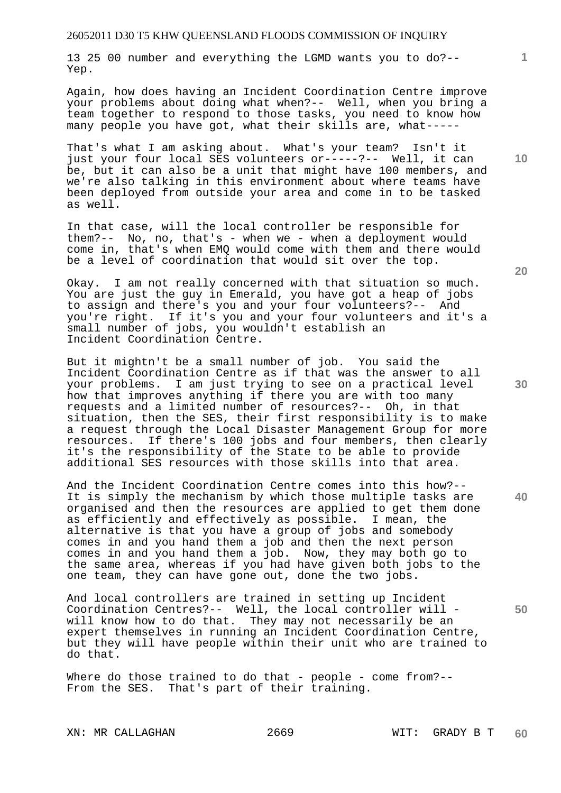13 25 00 number and everything the LGMD wants you to do?-- Yep.

Again, how does having an Incident Coordination Centre improve your problems about doing what when?-- Well, when you bring a team together to respond to those tasks, you need to know how many people you have got, what their skills are, what-----

That's what I am asking about. What's your team? Isn't it just your four local SES volunteers or-----?-- Well, it can be, but it can also be a unit that might have 100 members, and we're also talking in this environment about where teams have been deployed from outside your area and come in to be tasked as well.

In that case, will the local controller be responsible for them?-- No, no, that's - when we - when a deployment would come in, that's when EMQ would come with them and there would be a level of coordination that would sit over the top.

Okay. I am not really concerned with that situation so much. You are just the guy in Emerald, you have got a heap of jobs to assign and there's you and your four volunteers?-- And you're right. If it's you and your four volunteers and it's a small number of jobs, you wouldn't establish an Incident Coordination Centre.

But it mightn't be a small number of job. You said the Incident Coordination Centre as if that was the answer to all your problems. I am just trying to see on a practical level how that improves anything if there you are with too many requests and a limited number of resources?-- Oh, in that situation, then the SES, their first responsibility is to make a request through the Local Disaster Management Group for more resources. If there's 100 jobs and four members, then clearly it's the responsibility of the State to be able to provide additional SES resources with those skills into that area.

And the Incident Coordination Centre comes into this how?-- It is simply the mechanism by which those multiple tasks are organised and then the resources are applied to get them done as efficiently and effectively as possible. I mean, the alternative is that you have a group of jobs and somebody comes in and you hand them a job and then the next person comes in and you hand them a job. Now, they may both go to the same area, whereas if you had have given both jobs to the one team, they can have gone out, done the two jobs.

And local controllers are trained in setting up Incident Coordination Centres?-- Well, the local controller will will know how to do that. They may not necessarily be an expert themselves in running an Incident Coordination Centre, but they will have people within their unit who are trained to do that.

Where do those trained to do that - people - come from?--From the SES. That's part of their training.

**20** 

**40** 

**50** 

**30** 

**10**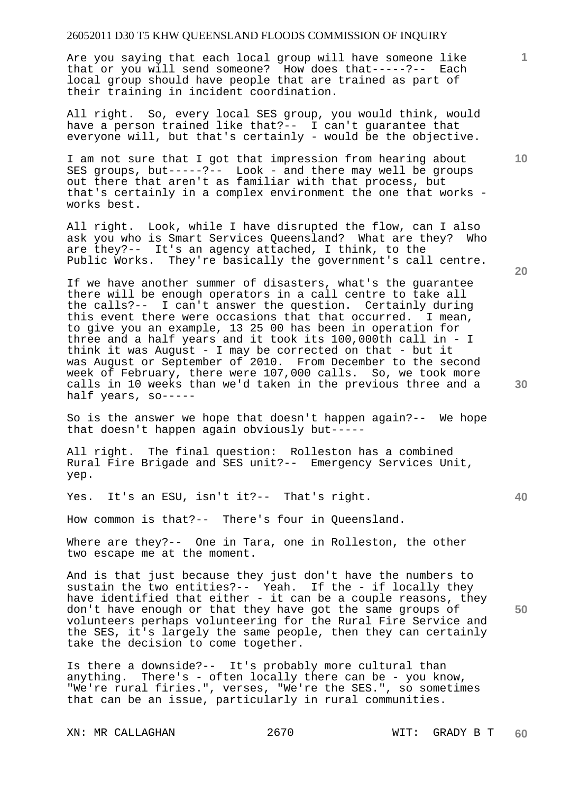Are you saying that each local group will have someone like that or you will send someone? How does that-----?-- Each local group should have people that are trained as part of their training in incident coordination.

All right. So, every local SES group, you would think, would have a person trained like that?-- I can't guarantee that everyone will, but that's certainly - would be the objective.

I am not sure that I got that impression from hearing about SES groups, but-----?-- Look - and there may well be groups out there that aren't as familiar with that process, but that's certainly in a complex environment the one that works works best.

All right. Look, while I have disrupted the flow, can I also ask you who is Smart Services Queensland? What are they? Who are they?-- It's an agency attached, I think, to the Public Works. They're basically the government's call centre.

If we have another summer of disasters, what's the guarantee there will be enough operators in a call centre to take all the calls?-- I can't answer the question. Certainly during this event there were occasions that that occurred. I mean, to give you an example, 13 25 00 has been in operation for three and a half years and it took its 100,000th call in - I think it was August - I may be corrected on that - but it was August or September of 2010. From December to the second week of February, there were 107,000 calls. So, we took more calls in 10 weeks than we'd taken in the previous three and a half years, so-----

So is the answer we hope that doesn't happen again?-- We hope that doesn't happen again obviously but-----

All right. The final question: Rolleston has a combined Rural Fire Brigade and SES unit?-- Emergency Services Unit, yep.

Yes. It's an ESU, isn't it?-- That's right.

How common is that?-- There's four in Queensland.

Where are they?-- One in Tara, one in Rolleston, the other two escape me at the moment.

And is that just because they just don't have the numbers to sustain the two entities?-- Yeah. If the - if locally they have identified that either - it can be a couple reasons, they don't have enough or that they have got the same groups of volunteers perhaps volunteering for the Rural Fire Service and the SES, it's largely the same people, then they can certainly take the decision to come together.

Is there a downside?-- It's probably more cultural than anything. There's - often locally there can be - you know, "We're rural firies.", verses, "We're the SES.", so sometimes that can be an issue, particularly in rural communities.

XN: MR CALLAGHAN 2670 WIT: GRADY B T

**20** 

**40** 

**50** 

**10**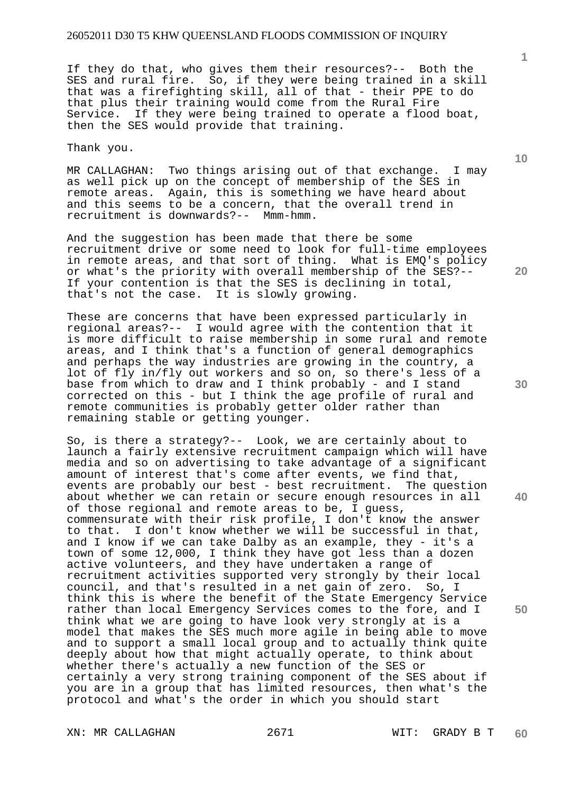If they do that, who gives them their resources?-- Both the SES and rural fire. So, if they were being trained in a skill that was a firefighting skill, all of that - their PPE to do that plus their training would come from the Rural Fire Service. If they were being trained to operate a flood boat, then the SES would provide that training.

Thank you.

MR CALLAGHAN: Two things arising out of that exchange. I may as well pick up on the concept of membership of the SES in remote areas. Again, this is something we have heard about and this seems to be a concern, that the overall trend in recruitment is downwards?-- Mmm-hmm.

And the suggestion has been made that there be some recruitment drive or some need to look for full-time employees in remote areas, and that sort of thing. What is EMQ's policy or what's the priority with overall membership of the SES?-- If your contention is that the SES is declining in total, that's not the case. It is slowly growing.

These are concerns that have been expressed particularly in regional areas?-- I would agree with the contention that it is more difficult to raise membership in some rural and remote areas, and I think that's a function of general demographics and perhaps the way industries are growing in the country, a lot of fly in/fly out workers and so on, so there's less of a base from which to draw and I think probably - and I stand corrected on this - but I think the age profile of rural and remote communities is probably getter older rather than remaining stable or getting younger.

So, is there a strategy?-- Look, we are certainly about to launch a fairly extensive recruitment campaign which will have media and so on advertising to take advantage of a significant amount of interest that's come after events, we find that, events are probably our best - best recruitment. The question about whether we can retain or secure enough resources in all of those regional and remote areas to be, I guess, commensurate with their risk profile, I don't know the answer to that. I don't know whether we will be successful in that, and I know if we can take Dalby as an example, they - it's a town of some 12,000, I think they have got less than a dozen active volunteers, and they have undertaken a range of recruitment activities supported very strongly by their local council, and that's resulted in a net gain of zero. So, I think this is where the benefit of the State Emergency Service rather than local Emergency Services comes to the fore, and I think what we are going to have look very strongly at is a model that makes the SES much more agile in being able to move and to support a small local group and to actually think quite deeply about how that might actually operate, to think about whether there's actually a new function of the SES or certainly a very strong training component of the SES about if you are in a group that has limited resources, then what's the protocol and what's the order in which you should start

XN: MR CALLAGHAN 2671 WIT: GRADY B T

**10** 

**1**

**40**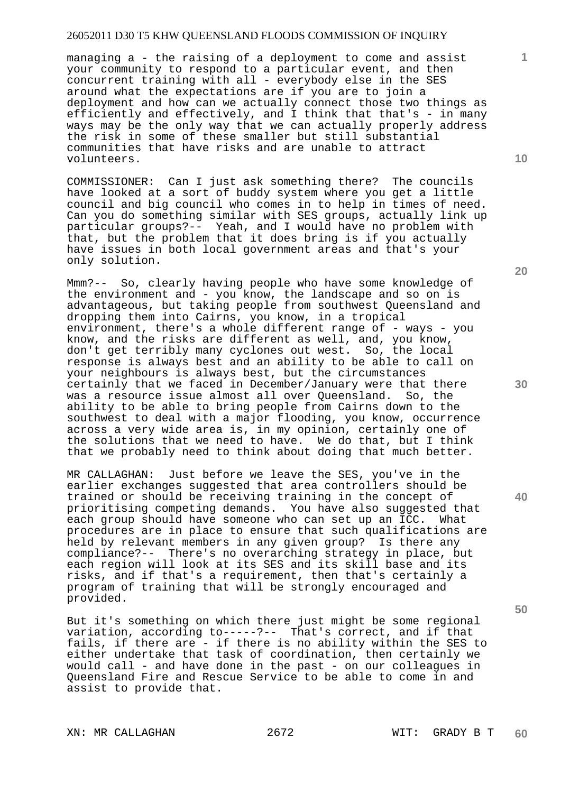managing a - the raising of a deployment to come and assist your community to respond to a particular event, and then concurrent training with all - everybody else in the SES around what the expectations are if you are to join a deployment and how can we actually connect those two things as efficiently and effectively, and I think that that's - in many ways may be the only way that we can actually properly address the risk in some of these smaller but still substantial communities that have risks and are unable to attract volunteers.

COMMISSIONER: Can I just ask something there? The councils have looked at a sort of buddy system where you get a little council and big council who comes in to help in times of need. Can you do something similar with SES groups, actually link up particular groups?-- Yeah, and I would have no problem with that, but the problem that it does bring is if you actually have issues in both local government areas and that's your only solution.

Mmm?-- So, clearly having people who have some knowledge of the environment and - you know, the landscape and so on is advantageous, but taking people from southwest Queensland and dropping them into Cairns, you know, in a tropical environment, there's a whole different range of - ways - you know, and the risks are different as well, and, you know, don't get terribly many cyclones out west. So, the local response is always best and an ability to be able to call on your neighbours is always best, but the circumstances certainly that we faced in December/January were that there was a resource issue almost all over Queensland. So, the ability to be able to bring people from Cairns down to the southwest to deal with a major flooding, you know, occurrence across a very wide area is, in my opinion, certainly one of the solutions that we need to have. We do that, but I think that we probably need to think about doing that much better.

MR CALLAGHAN: Just before we leave the SES, you've in the earlier exchanges suggested that area controllers should be trained or should be receiving training in the concept of prioritising competing demands. You have also suggested that each group should have someone who can set up an ICC. What procedures are in place to ensure that such qualifications are held by relevant members in any given group? Is there any compliance?-- There's no overarching strategy in place, but each region will look at its SES and its skill base and its risks, and if that's a requirement, then that's certainly a program of training that will be strongly encouraged and provided.

But it's something on which there just might be some regional variation, according to-----?-- That's correct, and if that fails, if there are - if there is no ability within the SES to either undertake that task of coordination, then certainly we would call - and have done in the past - on our colleagues in Queensland Fire and Rescue Service to be able to come in and assist to provide that.

XN: MR CALLAGHAN 2672 WIT: GRADY B T

**20** 

**30** 

**50** 

**1**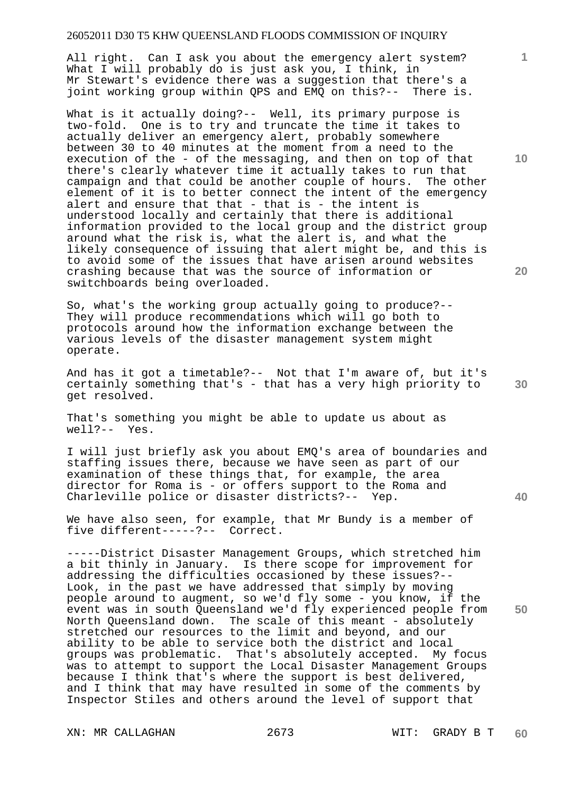All right. Can I ask you about the emergency alert system? What I will probably do is just ask you, I think, in Mr Stewart's evidence there was a suggestion that there's a joint working group within QPS and EMQ on this?-- There is.

What is it actually doing?-- Well, its primary purpose is two-fold. One is to try and truncate the time it takes to actually deliver an emergency alert, probably somewhere between 30 to 40 minutes at the moment from a need to the execution of the - of the messaging, and then on top of that there's clearly whatever time it actually takes to run that campaign and that could be another couple of hours. The other element of it is to better connect the intent of the emergency alert and ensure that that  $-$  that is  $-$  the intent is understood locally and certainly that there is additional information provided to the local group and the district group around what the risk is, what the alert is, and what the likely consequence of issuing that alert might be, and this is to avoid some of the issues that have arisen around websites crashing because that was the source of information or switchboards being overloaded.

So, what's the working group actually going to produce?-- They will produce recommendations which will go both to protocols around how the information exchange between the various levels of the disaster management system might operate.

And has it got a timetable?-- Not that I'm aware of, but it's certainly something that's - that has a very high priority to get resolved.

That's something you might be able to update us about as well?-- Yes.

I will just briefly ask you about EMQ's area of boundaries and staffing issues there, because we have seen as part of our examination of these things that, for example, the area director for Roma is - or offers support to the Roma and Charleville police or disaster districts?-- Yep.

We have also seen, for example, that Mr Bundy is a member of five different-----?-- Correct.

-----District Disaster Management Groups, which stretched him a bit thinly in January. Is there scope for improvement for addressing the difficulties occasioned by these issues?-- Look, in the past we have addressed that simply by moving people around to augment, so we'd fly some - you know, if the event was in south Queensland we'd fly experienced people from North Queensland down. The scale of this meant - absolutely stretched our resources to the limit and beyond, and our ability to be able to service both the district and local groups was problematic. That's absolutely accepted. My focus was to attempt to support the Local Disaster Management Groups because I think that's where the support is best delivered, and I think that may have resulted in some of the comments by Inspector Stiles and others around the level of support that

XN: MR CALLAGHAN 2673 WIT: GRADY B T

**10** 

**1**

**20** 

**40** 

**50**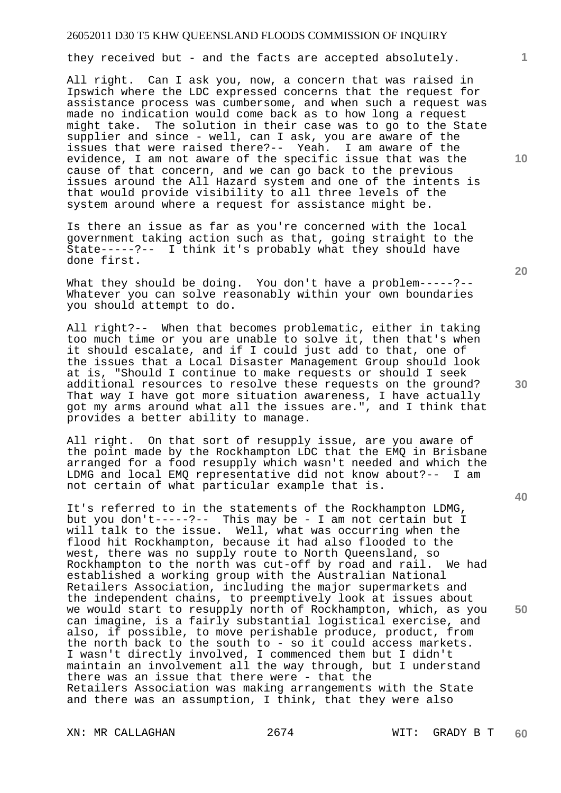they received but - and the facts are accepted absolutely.

All right. Can I ask you, now, a concern that was raised in Ipswich where the LDC expressed concerns that the request for assistance process was cumbersome, and when such a request was made no indication would come back as to how long a request might take. The solution in their case was to go to the State supplier and since - well, can I ask, you are aware of the issues that were raised there?-- Yeah. I am aware of the evidence, I am not aware of the specific issue that was the cause of that concern, and we can go back to the previous issues around the All Hazard system and one of the intents is that would provide visibility to all three levels of the system around where a request for assistance might be.

Is there an issue as far as you're concerned with the local government taking action such as that, going straight to the State-----?-- I think it's probably what they should have done first.

What they should be doing. You don't have a problem-----?--Whatever you can solve reasonably within your own boundaries you should attempt to do.

All right?-- When that becomes problematic, either in taking too much time or you are unable to solve it, then that's when it should escalate, and if I could just add to that, one of the issues that a Local Disaster Management Group should look at is, "Should I continue to make requests or should I seek additional resources to resolve these requests on the ground? That way I have got more situation awareness, I have actually got my arms around what all the issues are.", and I think that provides a better ability to manage.

All right. On that sort of resupply issue, are you aware of the point made by the Rockhampton LDC that the EMQ in Brisbane arranged for a food resupply which wasn't needed and which the LDMG and local EMQ representative did not know about?-- I am not certain of what particular example that is.

It's referred to in the statements of the Rockhampton LDMG, but you don't-----?-- This may be - I am not certain but I will talk to the issue. Well, what was occurring when the flood hit Rockhampton, because it had also flooded to the west, there was no supply route to North Queensland, so Rockhampton to the north was cut-off by road and rail. We had established a working group with the Australian National Retailers Association, including the major supermarkets and the independent chains, to preemptively look at issues about we would start to resupply north of Rockhampton, which, as you can imagine, is a fairly substantial logistical exercise, and also, if possible, to move perishable produce, product, from the north back to the south to - so it could access markets. I wasn't directly involved, I commenced them but I didn't maintain an involvement all the way through, but I understand there was an issue that there were - that the Retailers Association was making arrangements with the State and there was an assumption, I think, that they were also

XN: MR CALLAGHAN 2674 WIT: GRADY B T

**20** 

**10** 

**40**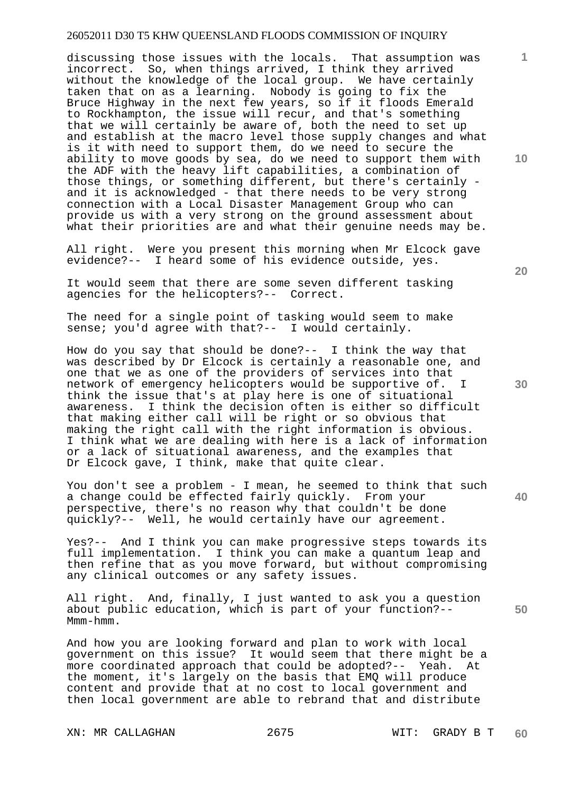discussing those issues with the locals. That assumption was incorrect. So, when things arrived, I think they arrived without the knowledge of the local group. We have certainly taken that on as a learning. Nobody is going to fix the Bruce Highway in the next few years, so if it floods Emerald to Rockhampton, the issue will recur, and that's something that we will certainly be aware of, both the need to set up and establish at the macro level those supply changes and what is it with need to support them, do we need to secure the ability to move goods by sea, do we need to support them with the ADF with the heavy lift capabilities, a combination of those things, or something different, but there's certainly and it is acknowledged - that there needs to be very strong connection with a Local Disaster Management Group who can provide us with a very strong on the ground assessment about what their priorities are and what their genuine needs may be.

All right. Were you present this morning when Mr Elcock gave evidence?-- I heard some of his evidence outside, yes.

It would seem that there are some seven different tasking agencies for the helicopters?-- Correct.

The need for a single point of tasking would seem to make sense; you'd agree with that?-- I would certainly.

How do you say that should be done?-- I think the way that was described by Dr Elcock is certainly a reasonable one, and one that we as one of the providers of services into that network of emergency helicopters would be supportive of. I think the issue that's at play here is one of situational awareness. I think the decision often is either so difficult that making either call will be right or so obvious that making the right call with the right information is obvious. I think what we are dealing with here is a lack of information or a lack of situational awareness, and the examples that Dr Elcock gave, I think, make that quite clear.

You don't see a problem - I mean, he seemed to think that such a change could be effected fairly quickly. From your perspective, there's no reason why that couldn't be done quickly?-- Well, he would certainly have our agreement.

Yes?-- And I think you can make progressive steps towards its full implementation. I think you can make a quantum leap and then refine that as you move forward, but without compromising any clinical outcomes or any safety issues.

All right. And, finally, I just wanted to ask you a question about public education, which is part of your function?-- Mmm-hmm.

And how you are looking forward and plan to work with local government on this issue? It would seem that there might be a more coordinated approach that could be adopted?-- Yeah. At the moment, it's largely on the basis that EMQ will produce content and provide that at no cost to local government and then local government are able to rebrand that and distribute

XN: MR CALLAGHAN 2675 WIT: GRADY B T

**20** 

**10** 



**40**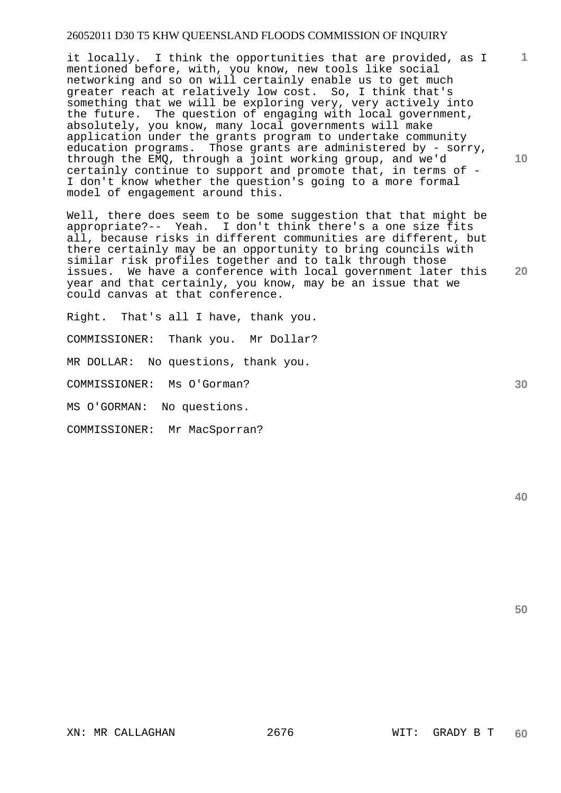it locally. I think the opportunities that are provided, as I mentioned before, with, you know, new tools like social networking and so on will certainly enable us to get much greater reach at relatively low cost. So, I think that's something that we will be exploring very, very actively into the future. The question of engaging with local government, absolutely, you know, many local governments will make application under the grants program to undertake community education programs. Those grants are administered by - sorry, through the EMQ, through a joint working group, and we'd certainly continue to support and promote that, in terms of - I don't know whether the question's going to a more formal model of engagement around this.

Well, there does seem to be some suggestion that that might be appropriate?-- Yeah. I don't think there's a one size fits all, because risks in different communities are different, but there certainly may be an opportunity to bring councils with similar risk profiles together and to talk through those issues. We have a conference with local government later this year and that certainly, you know, may be an issue that we could canvas at that conference.

Right. That's all I have, thank you.

COMMISSIONER: Thank you. Mr Dollar?

MR DOLLAR: No questions, thank you.

COMMISSIONER: Ms O'Gorman?

MS O'GORMAN: No questions.

COMMISSIONER: Mr MacSporran?

**50** 

**40** 

**10** 

**1**

**30**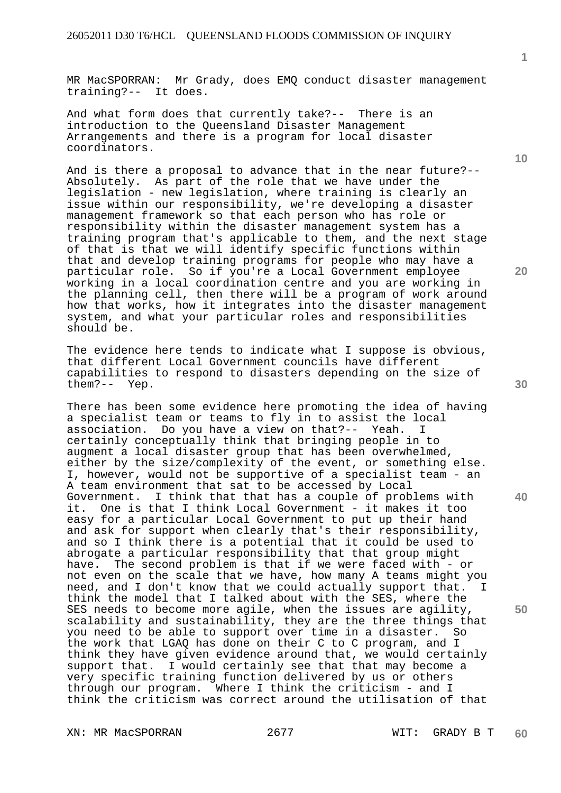MR MacSPORRAN: Mr Grady, does EMQ conduct disaster management training?-- It does.

And what form does that currently take?-- There is an introduction to the Queensland Disaster Management Arrangements and there is a program for local disaster coordinators.

And is there a proposal to advance that in the near future?-- Absolutely. As part of the role that we have under the legislation - new legislation, where training is clearly an issue within our responsibility, we're developing a disaster management framework so that each person who has role or responsibility within the disaster management system has a training program that's applicable to them, and the next stage of that is that we will identify specific functions within that and develop training programs for people who may have a particular role. So if you're a Local Government employee working in a local coordination centre and you are working in the planning cell, then there will be a program of work around how that works, how it integrates into the disaster management system, and what your particular roles and responsibilities should be.

The evidence here tends to indicate what I suppose is obvious, that different Local Government councils have different capabilities to respond to disasters depending on the size of them?-- Yep.

There has been some evidence here promoting the idea of having a specialist team or teams to fly in to assist the local association. Do you have a view on that?-- Yeah. I certainly conceptually think that bringing people in to augment a local disaster group that has been overwhelmed, either by the size/complexity of the event, or something else. I, however, would not be supportive of a specialist team - an A team environment that sat to be accessed by Local Government. I think that that has a couple of problems with it. One is that I think Local Government - it makes it too easy for a particular Local Government to put up their hand and ask for support when clearly that's their responsibility, and so I think there is a potential that it could be used to abrogate a particular responsibility that that group might have. The second problem is that if we were faced with - or not even on the scale that we have, how many A teams might you need, and I don't know that we could actually support that. I think the model that I talked about with the SES, where the SES needs to become more agile, when the issues are agility, scalability and sustainability, they are the three things that you need to be able to support over time in a disaster. So the work that LGAQ has done on their C to C program, and I think they have given evidence around that, we would certainly support that. I would certainly see that that may become a very specific training function delivered by us or others through our program. Where I think the criticism - and I think the criticism was correct around the utilisation of that

XN: MR MacSPORRAN 2677 WIT: GRADY B T

**1**

**20** 

**30** 

**40**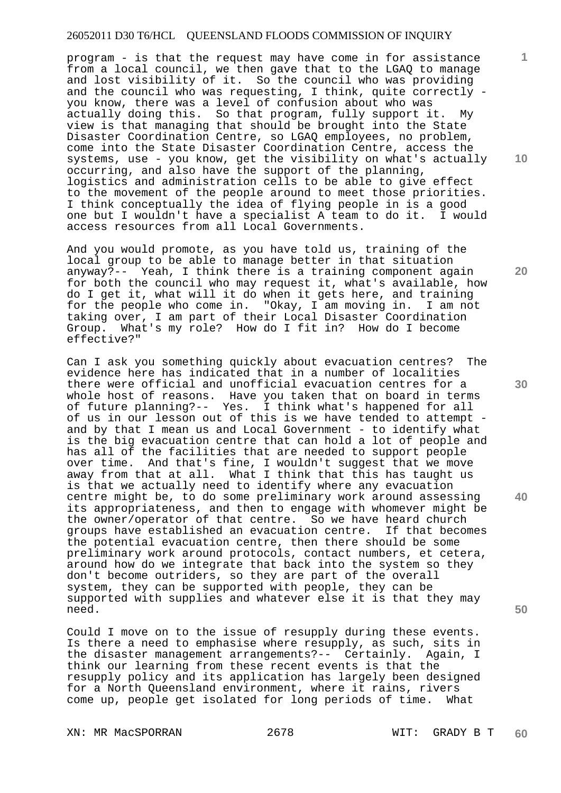program - is that the request may have come in for assistance from a local council, we then gave that to the LGAQ to manage and lost visibility of it. So the council who was providing and the council who was requesting, I think, quite correctly you know, there was a level of confusion about who was actually doing this. So that program, fully support it. My view is that managing that should be brought into the State Disaster Coordination Centre, so LGAQ employees, no problem, come into the State Disaster Coordination Centre, access the systems, use - you know, get the visibility on what's actually occurring, and also have the support of the planning, logistics and administration cells to be able to give effect to the movement of the people around to meet those priorities. I think conceptually the idea of flying people in is a good one but I wouldn't have a specialist A team to do it. I would access resources from all Local Governments.

And you would promote, as you have told us, training of the local group to be able to manage better in that situation anyway?-- Yeah, I think there is a training component again for both the council who may request it, what's available, how do I get it, what will it do when it gets here, and training for the people who come in. "Okay, I am moving in. I am not taking over, I am part of their Local Disaster Coordination Group. What's my role? How do I fit in? How do I become effective?"

Can I ask you something quickly about evacuation centres? The evidence here has indicated that in a number of localities there were official and unofficial evacuation centres for a whole host of reasons. Have you taken that on board in terms of future planning?-- Yes. I think what's happened for all of us in our lesson out of this is we have tended to attempt and by that I mean us and Local Government - to identify what is the big evacuation centre that can hold a lot of people and has all of the facilities that are needed to support people over time. And that's fine, I wouldn't suggest that we move away from that at all. What I think that this has taught us is that we actually need to identify where any evacuation centre might be, to do some preliminary work around assessing its appropriateness, and then to engage with whomever might be the owner/operator of that centre. So we have heard church groups have established an evacuation centre. If that becomes the potential evacuation centre, then there should be some preliminary work around protocols, contact numbers, et cetera, around how do we integrate that back into the system so they don't become outriders, so they are part of the overall system, they can be supported with people, they can be supported with supplies and whatever else it is that they may need.

Could I move on to the issue of resupply during these events. Is there a need to emphasise where resupply, as such, sits in the disaster management arrangements?-- Certainly. Again, I think our learning from these recent events is that the resupply policy and its application has largely been designed for a North Queensland environment, where it rains, rivers come up, people get isolated for long periods of time. What

XN: MR MacSPORRAN 2678 WIT: GRADY B T

**10** 

**1**

**20** 

**50**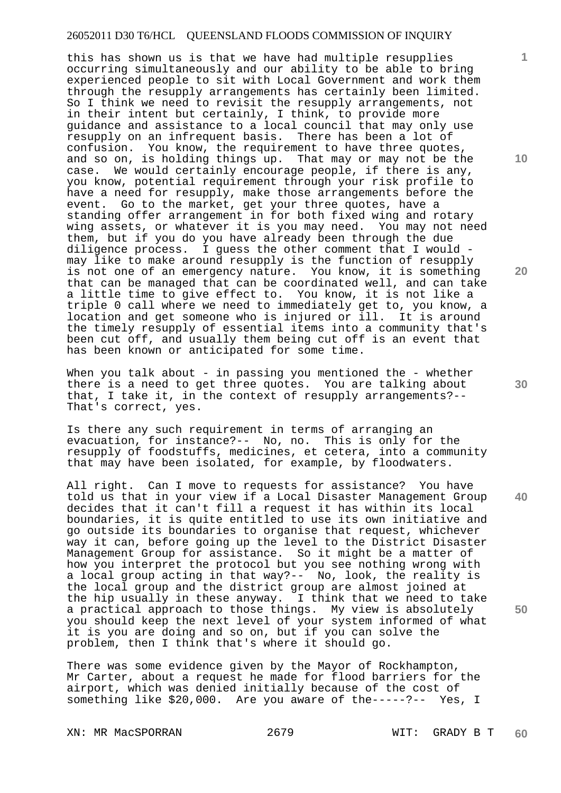this has shown us is that we have had multiple resupplies occurring simultaneously and our ability to be able to bring experienced people to sit with Local Government and work them through the resupply arrangements has certainly been limited. So I think we need to revisit the resupply arrangements, not in their intent but certainly, I think, to provide more guidance and assistance to a local council that may only use resupply on an infrequent basis. There has been a lot of confusion. You know, the requirement to have three quotes, and so on, is holding things up. That may or may not be the case. We would certainly encourage people, if there is any, you know, potential requirement through your risk profile to have a need for resupply, make those arrangements before the event. Go to the market, get your three quotes, have a standing offer arrangement in for both fixed wing and rotary wing assets, or whatever it is you may need. You may not need them, but if you do you have already been through the due diligence process. I guess the other comment that I would may like to make around resupply is the function of resupply is not one of an emergency nature. You know, it is something that can be managed that can be coordinated well, and can take a little time to give effect to. You know, it is not like a triple 0 call where we need to immediately get to, you know, a location and get someone who is injured or ill. It is around the timely resupply of essential items into a community that's been cut off, and usually them being cut off is an event that has been known or anticipated for some time.

When you talk about - in passing you mentioned the - whether there is a need to get three quotes. You are talking about that, I take it, in the context of resupply arrangements?-- That's correct, yes.

Is there any such requirement in terms of arranging an evacuation, for instance?-- No, no. This is only for the resupply of foodstuffs, medicines, et cetera, into a community that may have been isolated, for example, by floodwaters.

All right. Can I move to requests for assistance? You have told us that in your view if a Local Disaster Management Group decides that it can't fill a request it has within its local boundaries, it is quite entitled to use its own initiative and go outside its boundaries to organise that request, whichever way it can, before going up the level to the District Disaster Management Group for assistance. So it might be a matter of how you interpret the protocol but you see nothing wrong with a local group acting in that way?-- No, look, the reality is the local group and the district group are almost joined at the hip usually in these anyway. I think that we need to take a practical approach to those things. My view is absolutely you should keep the next level of your system informed of what it is you are doing and so on, but if you can solve the problem, then I think that's where it should go.

There was some evidence given by the Mayor of Rockhampton, Mr Carter, about a request he made for flood barriers for the airport, which was denied initially because of the cost of something like \$20,000. Are you aware of the-----?-- Yes, I

XN: MR MacSPORRAN 2679 WIT: GRADY B T

**10** 

**1**

**20** 

**30** 

**40**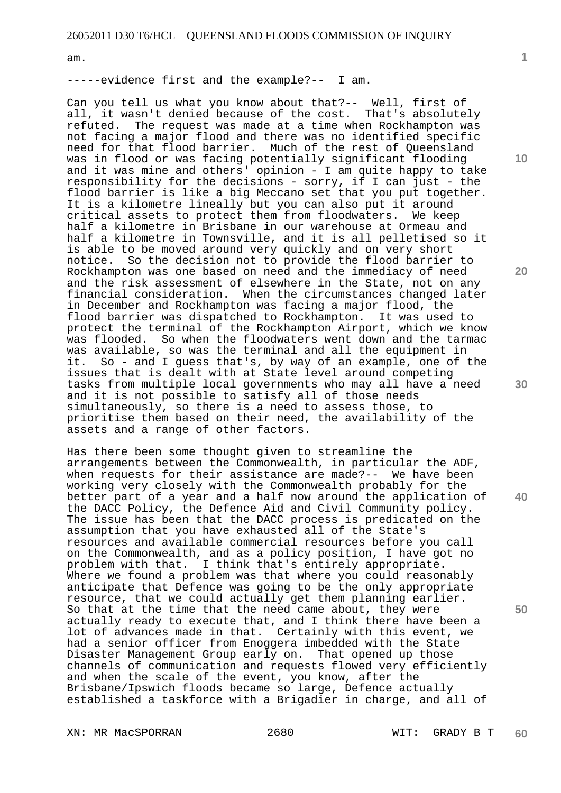am.

-----evidence first and the example?-- I am.

Can you tell us what you know about that?-- Well, first of all, it wasn't denied because of the cost. That's absolutely refuted. The request was made at a time when Rockhampton was not facing a major flood and there was no identified specific need for that flood barrier. Much of the rest of Queensland was in flood or was facing potentially significant flooding and it was mine and others' opinion - I am quite happy to take responsibility for the decisions - sorry, if I can just - the flood barrier is like a big Meccano set that you put together. It is a kilometre lineally but you can also put it around critical assets to protect them from floodwaters. We keep half a kilometre in Brisbane in our warehouse at Ormeau and half a kilometre in Townsville, and it is all pelletised so it is able to be moved around very quickly and on very short notice. So the decision not to provide the flood barrier to Rockhampton was one based on need and the immediacy of need and the risk assessment of elsewhere in the State, not on any financial consideration. When the circumstances changed later in December and Rockhampton was facing a major flood, the flood barrier was dispatched to Rockhampton. It was used to protect the terminal of the Rockhampton Airport, which we know was flooded. So when the floodwaters went down and the tarmac was available, so was the terminal and all the equipment in it. So - and I guess that's, by way of an example, one of the issues that is dealt with at State level around competing tasks from multiple local governments who may all have a need and it is not possible to satisfy all of those needs simultaneously, so there is a need to assess those, to prioritise them based on their need, the availability of the assets and a range of other factors.

Has there been some thought given to streamline the arrangements between the Commonwealth, in particular the ADF, when requests for their assistance are made?-- We have been working very closely with the Commonwealth probably for the better part of a year and a half now around the application of the DACC Policy, the Defence Aid and Civil Community policy. The issue has been that the DACC process is predicated on the assumption that you have exhausted all of the State's resources and available commercial resources before you call on the Commonwealth, and as a policy position, I have got no problem with that. I think that's entirely appropriate. Where we found a problem was that where you could reasonably anticipate that Defence was going to be the only appropriate resource, that we could actually get them planning earlier. So that at the time that the need came about, they were actually ready to execute that, and I think there have been a lot of advances made in that. Certainly with this event, we had a senior officer from Enoggera imbedded with the State Disaster Management Group early on. That opened up those channels of communication and requests flowed very efficiently and when the scale of the event, you know, after the Brisbane/Ipswich floods became so large, Defence actually established a taskforce with a Brigadier in charge, and all of

XN: MR MacSPORRAN 2680 WIT: GRADY B T

**1**

**30** 

**40** 

**50**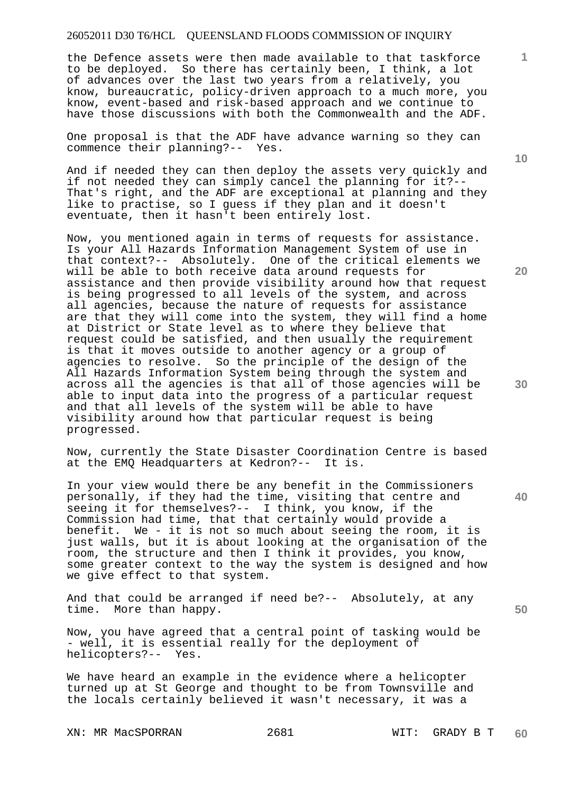the Defence assets were then made available to that taskforce to be deployed. So there has certainly been, I think, a lot of advances over the last two years from a relatively, you know, bureaucratic, policy-driven approach to a much more, you know, event-based and risk-based approach and we continue to have those discussions with both the Commonwealth and the ADF.

One proposal is that the ADF have advance warning so they can commence their planning?-- Yes. commence their planning?--

And if needed they can then deploy the assets very quickly and if not needed they can simply cancel the planning for it?-- That's right, and the ADF are exceptional at planning and they like to practise, so I guess if they plan and it doesn't eventuate, then it hasn't been entirely lost.

Now, you mentioned again in terms of requests for assistance. Is your All Hazards Information Management System of use in that context?-- Absolutely. One of the critical elements we will be able to both receive data around requests for assistance and then provide visibility around how that request is being progressed to all levels of the system, and across all agencies, because the nature of requests for assistance are that they will come into the system, they will find a home at District or State level as to where they believe that request could be satisfied, and then usually the requirement is that it moves outside to another agency or a group of agencies to resolve. So the principle of the design of the All Hazards Information System being through the system and across all the agencies is that all of those agencies will be able to input data into the progress of a particular request and that all levels of the system will be able to have visibility around how that particular request is being progressed.

Now, currently the State Disaster Coordination Centre is based at the EMQ Headquarters at Kedron?-- It is.

In your view would there be any benefit in the Commissioners personally, if they had the time, visiting that centre and seeing it for themselves?-- I think, you know, if the Commission had time, that that certainly would provide a benefit. We - it is not so much about seeing the room, it is just walls, but it is about looking at the organisation of the room, the structure and then I think it provides, you know, some greater context to the way the system is designed and how we give effect to that system.

And that could be arranged if need be?-- Absolutely, at any time. More than happy.

Now, you have agreed that a central point of tasking would be - well, it is essential really for the deployment of helicopters?-- Yes.

We have heard an example in the evidence where a helicopter turned up at St George and thought to be from Townsville and the locals certainly believed it wasn't necessary, it was a

XN: MR MacSPORRAN 2681 WIT: GRADY B T

**10** 

**1**

**20** 

**30** 

**40**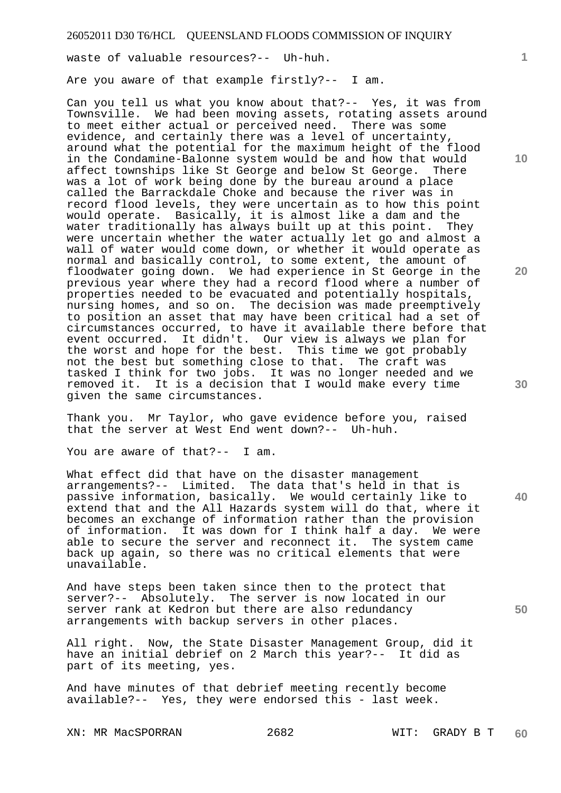waste of valuable resources?-- Uh-huh.

Are you aware of that example firstly?-- I am.

Can you tell us what you know about that?-- Yes, it was from Townsville. We had been moving assets, rotating assets around to meet either actual or perceived need. There was some evidence, and certainly there was a level of uncertainty, around what the potential for the maximum height of the flood in the Condamine-Balonne system would be and how that would affect townships like St George and below St George. There was a lot of work being done by the bureau around a place called the Barrackdale Choke and because the river was in record flood levels, they were uncertain as to how this point would operate. Basically, it is almost like a dam and the water traditionally has always built up at this point. They were uncertain whether the water actually let go and almost a wall of water would come down, or whether it would operate as normal and basically control, to some extent, the amount of floodwater going down. We had experience in St George in the previous year where they had a record flood where a number of properties needed to be evacuated and potentially hospitals, nursing homes, and so on. The decision was made preemptively to position an asset that may have been critical had a set of circumstances occurred, to have it available there before that event occurred. It didn't. Our view is always we plan for the worst and hope for the best. This time we got probably not the best but something close to that. The craft was tasked I think for two jobs. It was no longer needed and we removed it. It is a decision that I would make every time given the same circumstances.

Thank you. Mr Taylor, who gave evidence before you, raised that the server at West End went down?-- Uh-huh.

You are aware of that?-- I am.

What effect did that have on the disaster management arrangements?-- Limited. The data that's held in that is passive information, basically. We would certainly like to extend that and the All Hazards system will do that, where it becomes an exchange of information rather than the provision of information. It was down for I think half a day. We were able to secure the server and reconnect it. The system came back up again, so there was no critical elements that were unavailable.

And have steps been taken since then to the protect that server?-- Absolutely. The server is now located in our server rank at Kedron but there are also redundancy arrangements with backup servers in other places.

All right. Now, the State Disaster Management Group, did it have an initial debrief on 2 March this year?-- It did as part of its meeting, yes.

And have minutes of that debrief meeting recently become available?-- Yes, they were endorsed this - last week.

**1**

**10** 

**20** 

**30** 

**40**